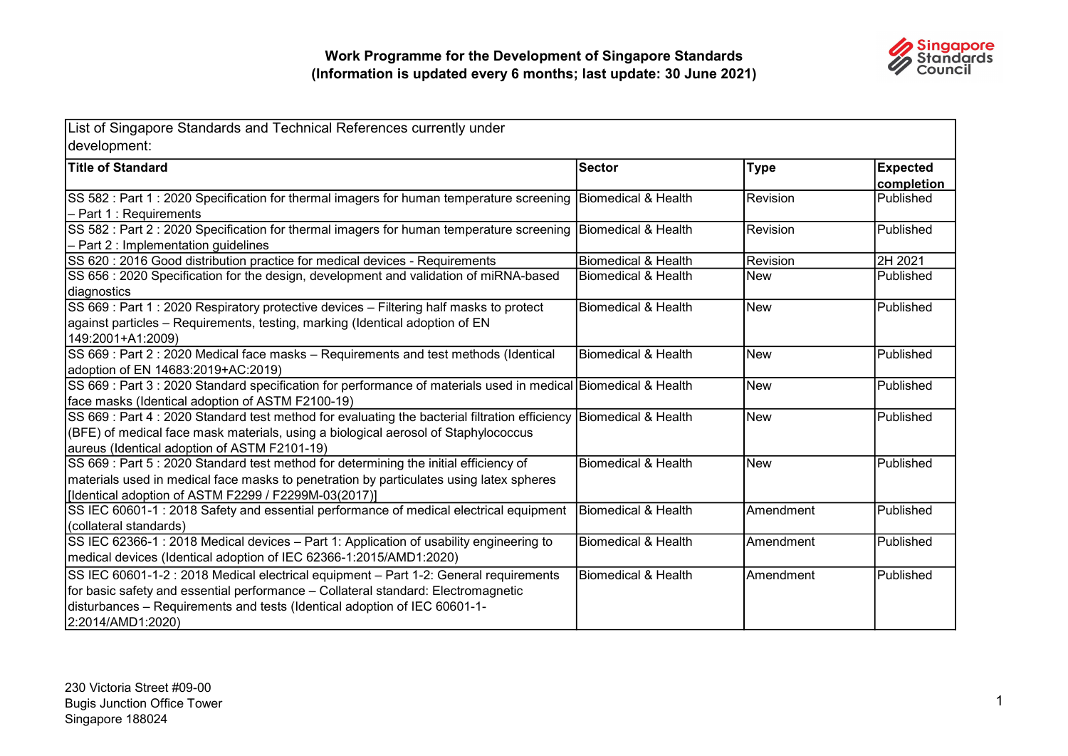

| List of Singapore Standards and Technical References currently under<br>development:                                                                                                                                                                                         |                                |            |                               |
|------------------------------------------------------------------------------------------------------------------------------------------------------------------------------------------------------------------------------------------------------------------------------|--------------------------------|------------|-------------------------------|
| <b>Title of Standard</b>                                                                                                                                                                                                                                                     | <b>Sector</b>                  | Type       | <b>Expected</b><br>completion |
| SS 582 : Part 1 : 2020 Specification for thermal imagers for human temperature screening Biomedical & Health<br>- Part 1 : Requirements                                                                                                                                      |                                | Revision   | Published                     |
| SS 582 : Part 2 : 2020 Specification for thermal imagers for human temperature screening Biomedical & Health<br>- Part 2 : Implementation guidelines                                                                                                                         |                                | Revision   | Published                     |
| SS 620 : 2016 Good distribution practice for medical devices - Requirements                                                                                                                                                                                                  | <b>Biomedical &amp; Health</b> | Revision   | 2H 2021                       |
| SS 656 : 2020 Specification for the design, development and validation of miRNA-based<br>diagnostics                                                                                                                                                                         | <b>Biomedical &amp; Health</b> | <b>New</b> | Published                     |
| SS 669 : Part 1 : 2020 Respiratory protective devices - Filtering half masks to protect<br>against particles - Requirements, testing, marking (Identical adoption of EN<br>149:2001+A1:2009)                                                                                 | <b>Biomedical &amp; Health</b> | <b>New</b> | Published                     |
| SS 669 : Part 2 : 2020 Medical face masks - Requirements and test methods (Identical<br>adoption of EN 14683:2019+AC:2019)                                                                                                                                                   | <b>Biomedical &amp; Health</b> | <b>New</b> | Published                     |
| SS 669 : Part 3 : 2020 Standard specification for performance of materials used in medical Biomedical & Health<br>face masks (Identical adoption of ASTM F2100-19)                                                                                                           |                                | <b>New</b> | Published                     |
| SS 669 : Part 4 : 2020 Standard test method for evaluating the bacterial filtration efficiency Biomedical & Health<br>(BFE) of medical face mask materials, using a biological aerosol of Staphylococcus<br>aureus (Identical adoption of ASTM F2101-19)                     |                                | <b>New</b> | Published                     |
| SS 669 : Part 5 : 2020 Standard test method for determining the initial efficiency of<br>materials used in medical face masks to penetration by particulates using latex spheres<br>[Identical adoption of ASTM F2299 / F2299M-03(2017)]                                     | <b>Biomedical &amp; Health</b> | <b>New</b> | Published                     |
| SS IEC 60601-1 : 2018 Safety and essential performance of medical electrical equipment<br>(collateral standards)                                                                                                                                                             | Biomedical & Health            | IAmendment | Published                     |
| SS IEC 62366-1 : 2018 Medical devices - Part 1: Application of usability engineering to<br>medical devices (Identical adoption of IEC 62366-1:2015/AMD1:2020)                                                                                                                | <b>Biomedical &amp; Health</b> | Amendment  | Published                     |
| SS IEC 60601-1-2 : 2018 Medical electrical equipment - Part 1-2: General requirements<br>for basic safety and essential performance - Collateral standard: Electromagnetic<br>disturbances - Requirements and tests (Identical adoption of IEC 60601-1-<br>2:2014/AMD1:2020) | IBiomedical & Health           | Amendment  | Published                     |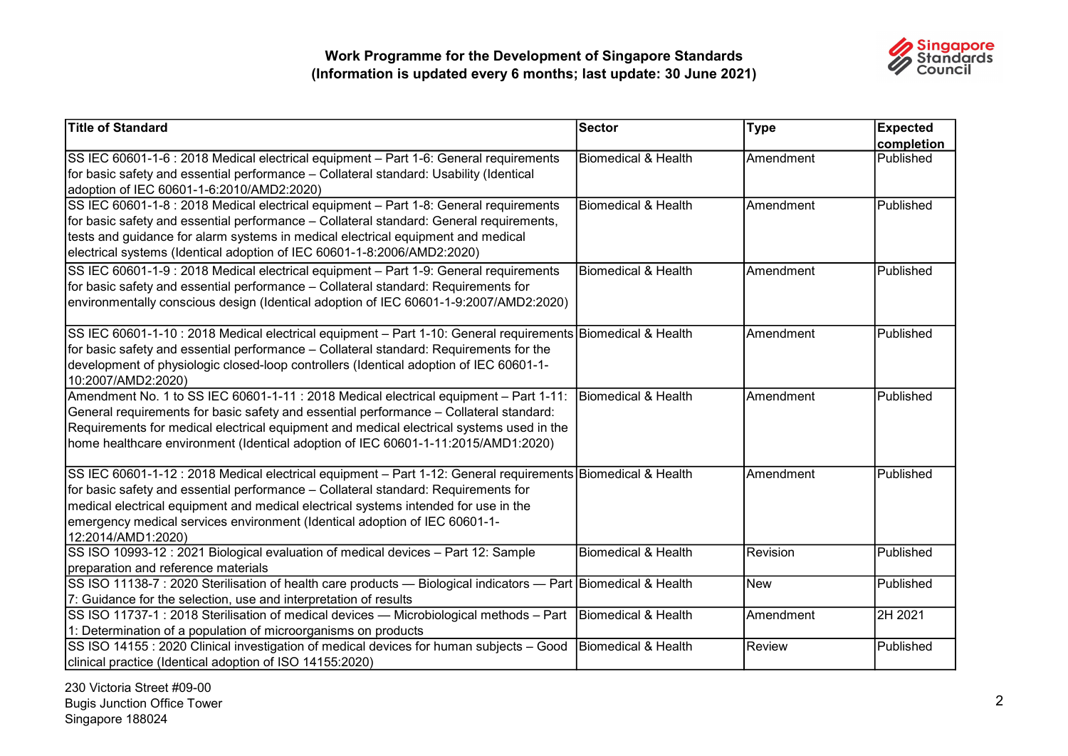

| <b>Title of Standard</b>                                                                                                                                                                                                                                                                                                                                                                     | Sector                         | <b>Type</b> | <b>Expected</b>         |
|----------------------------------------------------------------------------------------------------------------------------------------------------------------------------------------------------------------------------------------------------------------------------------------------------------------------------------------------------------------------------------------------|--------------------------------|-------------|-------------------------|
| SS IEC 60601-1-6 : 2018 Medical electrical equipment - Part 1-6: General requirements<br>for basic safety and essential performance - Collateral standard: Usability (Identical<br>adoption of IEC 60601-1-6:2010/AMD2:2020)                                                                                                                                                                 | Biomedical & Health            | Amendment   | completion<br>Published |
| SS IEC 60601-1-8 : 2018 Medical electrical equipment - Part 1-8: General requirements<br>for basic safety and essential performance - Collateral standard: General requirements,<br>tests and guidance for alarm systems in medical electrical equipment and medical<br>electrical systems (Identical adoption of IEC 60601-1-8:2006/AMD2:2020)                                              | Biomedical & Health            | Amendment   | Published               |
| SS IEC 60601-1-9 : 2018 Medical electrical equipment - Part 1-9: General requirements<br>for basic safety and essential performance – Collateral standard: Requirements for<br>environmentally conscious design (Identical adoption of IEC 60601-1-9:2007/AMD2:2020)                                                                                                                         | <b>Biomedical &amp; Health</b> | Amendment   | Published               |
| SS IEC 60601-1-10 : 2018 Medical electrical equipment - Part 1-10: General requirements Biomedical & Health<br>for basic safety and essential performance - Collateral standard: Requirements for the<br>development of physiologic closed-loop controllers (Identical adoption of IEC 60601-1-<br>10:2007/AMD2:2020)                                                                        |                                | Amendment   | Published               |
| Amendment No. 1 to SS IEC 60601-1-11 : 2018 Medical electrical equipment - Part 1-11:<br>General requirements for basic safety and essential performance - Collateral standard:<br>Requirements for medical electrical equipment and medical electrical systems used in the<br>home healthcare environment (Identical adoption of IEC 60601-1-11:2015/AMD1:2020)                             | Biomedical & Health            | Amendment   | Published               |
| SS IEC 60601-1-12 : 2018 Medical electrical equipment – Part 1-12: General requirements Biomedical & Health<br>for basic safety and essential performance - Collateral standard: Requirements for<br>medical electrical equipment and medical electrical systems intended for use in the<br>emergency medical services environment (Identical adoption of IEC 60601-1-<br>12:2014/AMD1:2020) |                                | Amendment   | Published               |
| SS ISO 10993-12 : 2021 Biological evaluation of medical devices - Part 12: Sample<br>preparation and reference materials                                                                                                                                                                                                                                                                     | <b>Biomedical &amp; Health</b> | Revision    | Published               |
| SS ISO 11138-7 : 2020 Sterilisation of health care products — Biological indicators — Part   Biomedical & Health<br>7: Guidance for the selection, use and interpretation of results                                                                                                                                                                                                         |                                | New         | Published               |
| SS ISO 11737-1 : 2018 Sterilisation of medical devices - Microbiological methods - Part<br>1: Determination of a population of microorganisms on products                                                                                                                                                                                                                                    | Biomedical & Health            | Amendment   | 2H 2021                 |
| SS ISO 14155 : 2020 Clinical investigation of medical devices for human subjects - Good<br>clinical practice (Identical adoption of ISO 14155:2020)                                                                                                                                                                                                                                          | Biomedical & Health            | Review      | Published               |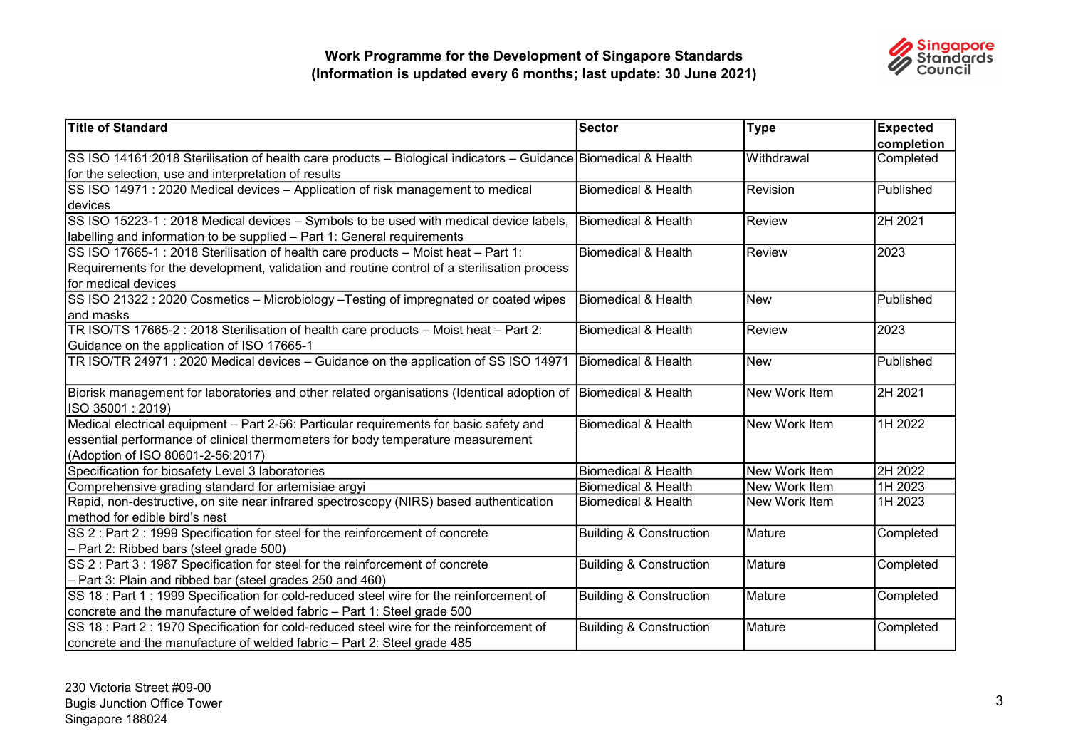

| <b>Title of Standard</b>                                                                                       | <b>Sector</b>                      | <b>Type</b>   | <b>Expected</b> |
|----------------------------------------------------------------------------------------------------------------|------------------------------------|---------------|-----------------|
|                                                                                                                |                                    |               | completion      |
| SS ISO 14161:2018 Sterilisation of health care products – Biological indicators – Guidance Biomedical & Health |                                    | Withdrawal    | Completed       |
| for the selection, use and interpretation of results                                                           |                                    |               |                 |
| SS ISO 14971 : 2020 Medical devices - Application of risk management to medical                                | <b>Biomedical &amp; Health</b>     | Revision      | Published       |
| devices                                                                                                        |                                    |               |                 |
| SS ISO 15223-1 : 2018 Medical devices - Symbols to be used with medical device labels,                         | Biomedical & Health                | Review        | 2H 2021         |
| labelling and information to be supplied - Part 1: General requirements                                        |                                    |               |                 |
| SS ISO 17665-1 : 2018 Sterilisation of health care products - Moist heat - Part 1:                             | Biomedical & Health                | Review        | 2023            |
| Requirements for the development, validation and routine control of a sterilisation process                    |                                    |               |                 |
| for medical devices                                                                                            |                                    |               |                 |
| SS ISO 21322 : 2020 Cosmetics - Microbiology - Testing of impregnated or coated wipes                          | Biomedical & Health                | New           | Published       |
| and masks                                                                                                      |                                    |               |                 |
| TR ISO/TS 17665-2 : 2018 Sterilisation of health care products - Moist heat - Part 2:                          | Biomedical & Health                | Review        | 2023            |
| Guidance on the application of ISO 17665-1                                                                     |                                    |               |                 |
| TR ISO/TR 24971 : 2020 Medical devices - Guidance on the application of SS ISO 14971                           | Biomedical & Health                | New           | Published       |
|                                                                                                                |                                    |               |                 |
| Biorisk management for laboratories and other related organisations (Identical adoption of                     | Biomedical & Health                | New Work Item | 2H 2021         |
| ISO 35001: 2019)                                                                                               |                                    |               |                 |
| Medical electrical equipment - Part 2-56: Particular requirements for basic safety and                         | Biomedical & Health                | New Work Item | 1H 2022         |
| essential performance of clinical thermometers for body temperature measurement                                |                                    |               |                 |
| (Adoption of ISO 80601-2-56:2017)                                                                              |                                    |               |                 |
| Specification for biosafety Level 3 laboratories                                                               | Biomedical & Health                | New Work Item | 2H 2022         |
| Comprehensive grading standard for artemisiae argyi                                                            | Biomedical & Health                | New Work Item | 1H 2023         |
| Rapid, non-destructive, on site near infrared spectroscopy (NIRS) based authentication                         | Biomedical & Health                | New Work Item | 1H 2023         |
| method for edible bird's nest                                                                                  |                                    |               |                 |
| SS 2 : Part 2 : 1999 Specification for steel for the reinforcement of concrete                                 | <b>Building &amp; Construction</b> | Mature        | Completed       |
| - Part 2: Ribbed bars (steel grade 500)                                                                        |                                    |               |                 |
| SS 2 : Part 3 : 1987 Specification for steel for the reinforcement of concrete                                 | <b>Building &amp; Construction</b> | Mature        | Completed       |
| - Part 3: Plain and ribbed bar (steel grades 250 and 460)                                                      |                                    |               |                 |
| SS 18 : Part 1 : 1999 Specification for cold-reduced steel wire for the reinforcement of                       | <b>Building &amp; Construction</b> | Mature        | Completed       |
| concrete and the manufacture of welded fabric - Part 1: Steel grade 500                                        |                                    |               |                 |
| SS 18 : Part 2 : 1970 Specification for cold-reduced steel wire for the reinforcement of                       | <b>Building &amp; Construction</b> | Mature        | Completed       |
| concrete and the manufacture of welded fabric - Part 2: Steel grade 485                                        |                                    |               |                 |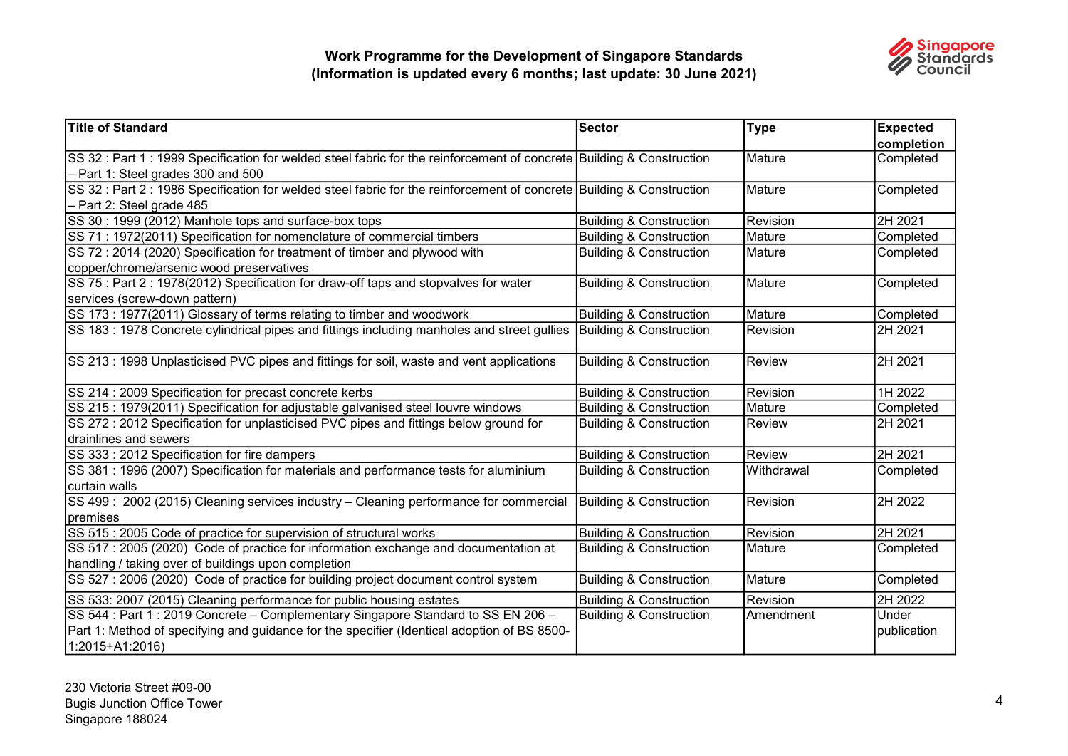

| <b>Title of Standard</b>                                                                                              | Sector                             | <b>Type</b> | <b>Expected</b> |
|-----------------------------------------------------------------------------------------------------------------------|------------------------------------|-------------|-----------------|
|                                                                                                                       |                                    |             | completion      |
| SS 32 : Part 1 : 1999 Specification for welded steel fabric for the reinforcement of concrete Building & Construction |                                    | Mature      | Completed       |
| - Part 1: Steel grades 300 and 500                                                                                    |                                    |             |                 |
| SS 32 : Part 2 : 1986 Specification for welded steel fabric for the reinforcement of concrete Building & Construction |                                    | Mature      | Completed       |
| - Part 2: Steel grade 485                                                                                             |                                    |             |                 |
| SS 30 : 1999 (2012) Manhole tops and surface-box tops                                                                 | <b>Building &amp; Construction</b> | Revision    | 2H 2021         |
| SS 71 : 1972(2011) Specification for nomenclature of commercial timbers                                               | <b>Building &amp; Construction</b> | Mature      | Completed       |
| SS 72: 2014 (2020) Specification for treatment of timber and plywood with                                             | <b>Building &amp; Construction</b> | Mature      | Completed       |
| copper/chrome/arsenic wood preservatives                                                                              |                                    |             |                 |
| SS 75 : Part 2 : 1978(2012) Specification for draw-off taps and stopvalves for water                                  | <b>Building &amp; Construction</b> | Mature      | Completed       |
| services (screw-down pattern)                                                                                         |                                    |             |                 |
| SS 173 : 1977(2011) Glossary of terms relating to timber and woodwork                                                 | <b>Building &amp; Construction</b> | Mature      | Completed       |
| SS 183 : 1978 Concrete cylindrical pipes and fittings including manholes and street gullies                           | Building & Construction            | Revision    | 2H 2021         |
|                                                                                                                       |                                    |             |                 |
| SS 213 : 1998 Unplasticised PVC pipes and fittings for soil, waste and vent applications                              | Building & Construction            | Review      | 2H 2021         |
|                                                                                                                       |                                    |             |                 |
| SS 214 : 2009 Specification for precast concrete kerbs                                                                | <b>Building &amp; Construction</b> | Revision    | 1H 2022         |
| SS 215 : 1979(2011) Specification for adjustable galvanised steel louvre windows                                      | <b>Building &amp; Construction</b> | Mature      | Completed       |
| SS 272 : 2012 Specification for unplasticised PVC pipes and fittings below ground for                                 | <b>Building &amp; Construction</b> | Review      | 2H 2021         |
| drainlines and sewers                                                                                                 |                                    |             |                 |
| SS 333 : 2012 Specification for fire dampers                                                                          | <b>Building &amp; Construction</b> | Review      | 2H 2021         |
| SS 381 : 1996 (2007) Specification for materials and performance tests for aluminium                                  | <b>Building &amp; Construction</b> | Withdrawal  | Completed       |
| curtain walls                                                                                                         |                                    |             |                 |
| SS 499: 2002 (2015) Cleaning services industry - Cleaning performance for commercial                                  | Building & Construction            | Revision    | 2H 2022         |
| premises                                                                                                              |                                    |             |                 |
| SS 515 : 2005 Code of practice for supervision of structural works                                                    | <b>Building &amp; Construction</b> | Revision    | 2H 2021         |
| SS 517 : 2005 (2020) Code of practice for information exchange and documentation at                                   | <b>Building &amp; Construction</b> | Mature      | Completed       |
| handling / taking over of buildings upon completion                                                                   |                                    |             |                 |
| SS 527 : 2006 (2020) Code of practice for building project document control system                                    | <b>Building &amp; Construction</b> | Mature      | Completed       |
| SS 533: 2007 (2015) Cleaning performance for public housing estates                                                   | <b>Building &amp; Construction</b> | Revision    | 2H 2022         |
| SS 544 : Part 1 : 2019 Concrete - Complementary Singapore Standard to SS EN 206 -                                     | <b>Building &amp; Construction</b> | Amendment   | Under           |
| Part 1: Method of specifying and guidance for the specifier (Identical adoption of BS 8500-                           |                                    |             | publication     |
| 1:2015+A1:2016)                                                                                                       |                                    |             |                 |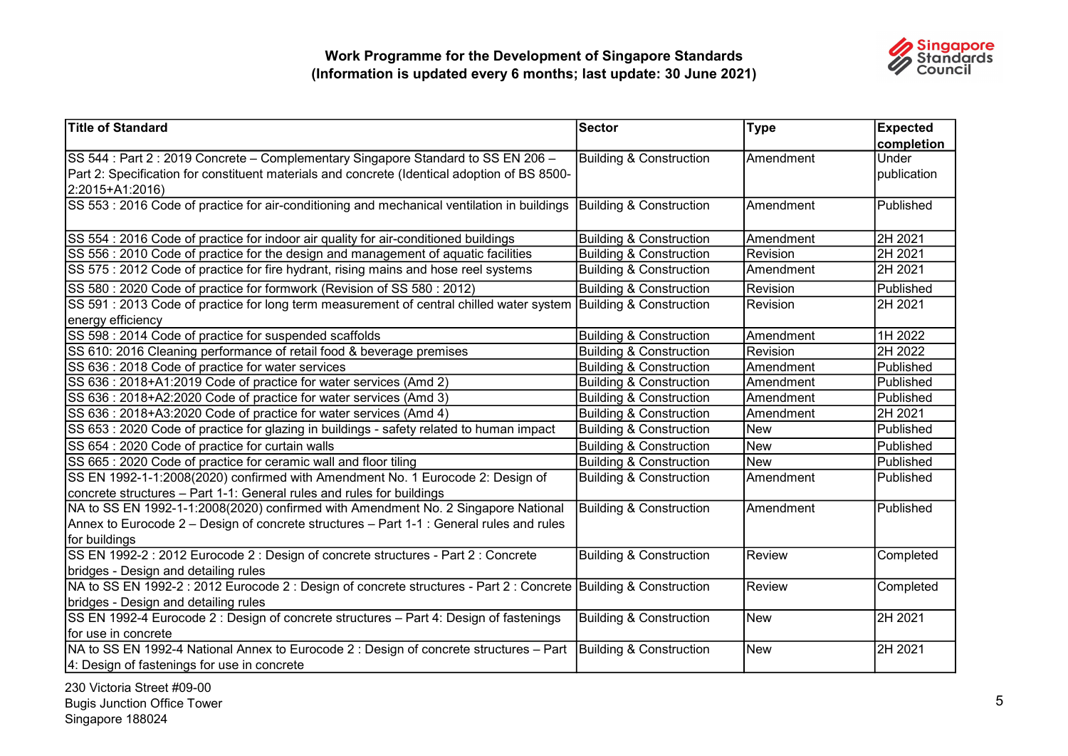

| Title of Standard                                                                                                | <b>Sector</b>                      | <b>Type</b>     | <b>Expected</b> |
|------------------------------------------------------------------------------------------------------------------|------------------------------------|-----------------|-----------------|
|                                                                                                                  |                                    |                 | completion      |
| SS 544 : Part 2 : 2019 Concrete – Complementary Singapore Standard to SS EN 206 –                                | <b>Building &amp; Construction</b> | Amendment       | Under           |
| Part 2: Specification for constituent materials and concrete (Identical adoption of BS 8500-                     |                                    |                 | publication     |
| 2:2015+A1:2016)                                                                                                  |                                    |                 |                 |
| SS 553 : 2016 Code of practice for air-conditioning and mechanical ventilation in buildings                      | Building & Construction            | Amendment       | Published       |
| SS 554 : 2016 Code of practice for indoor air quality for air-conditioned buildings                              | <b>Building &amp; Construction</b> | Amendment       | 2H 2021         |
| SS 556 : 2010 Code of practice for the design and management of aquatic facilities                               | <b>Building &amp; Construction</b> | Revision        | 2H 2021         |
| SS 575 : 2012 Code of practice for fire hydrant, rising mains and hose reel systems                              | <b>Building &amp; Construction</b> | Amendment       | 2H 2021         |
| SS 580 : 2020 Code of practice for formwork (Revision of SS 580 : 2012)                                          | <b>Building &amp; Construction</b> | <b>Revision</b> | Published       |
| SS 591 : 2013 Code of practice for long term measurement of central chilled water system Building & Construction |                                    | Revision        | 2H 2021         |
| energy efficiency                                                                                                |                                    |                 |                 |
| SS 598 : 2014 Code of practice for suspended scaffolds                                                           | <b>Building &amp; Construction</b> | Amendment       | 1H 2022         |
| SS 610: 2016 Cleaning performance of retail food & beverage premises                                             | <b>Building &amp; Construction</b> | Revision        | 2H 2022         |
| SS 636 : 2018 Code of practice for water services                                                                | <b>Building &amp; Construction</b> | Amendment       | Published       |
| SS 636: 2018+A1:2019 Code of practice for water services (Amd 2)                                                 | <b>Building &amp; Construction</b> | Amendment       | Published       |
| SS 636 : 2018+A2:2020 Code of practice for water services (Amd 3)                                                | <b>Building &amp; Construction</b> | Amendment       | Published       |
| SS 636 : 2018+A3:2020 Code of practice for water services (Amd 4)                                                | <b>Building &amp; Construction</b> | Amendment       | 2H 2021         |
| SS 653 : 2020 Code of practice for glazing in buildings - safety related to human impact                         | <b>Building &amp; Construction</b> | <b>New</b>      | Published       |
| SS 654 : 2020 Code of practice for curtain walls                                                                 | <b>Building &amp; Construction</b> | <b>New</b>      | Published       |
| SS 665 : 2020 Code of practice for ceramic wall and floor tiling                                                 | <b>Building &amp; Construction</b> | <b>New</b>      | Published       |
| SS EN 1992-1-1:2008(2020) confirmed with Amendment No. 1 Eurocode 2: Design of                                   | <b>Building &amp; Construction</b> | Amendment       | Published       |
| concrete structures - Part 1-1: General rules and rules for buildings                                            |                                    |                 |                 |
| NA to SS EN 1992-1-1:2008(2020) confirmed with Amendment No. 2 Singapore National                                | <b>Building &amp; Construction</b> | Amendment       | Published       |
| Annex to Eurocode 2 – Design of concrete structures – Part 1-1 : General rules and rules                         |                                    |                 |                 |
| for buildings                                                                                                    |                                    |                 |                 |
| SS EN 1992-2 : 2012 Eurocode 2 : Design of concrete structures - Part 2 : Concrete                               | <b>Building &amp; Construction</b> | Review          | Completed       |
| bridges - Design and detailing rules                                                                             |                                    |                 |                 |
| NA to SS EN 1992-2 : 2012 Eurocode 2 : Design of concrete structures - Part 2 : Concrete Building & Construction |                                    | Review          | Completed       |
| bridges - Design and detailing rules                                                                             |                                    |                 |                 |
| SS EN 1992-4 Eurocode 2 : Design of concrete structures - Part 4: Design of fastenings                           | <b>Building &amp; Construction</b> | <b>New</b>      | 2H 2021         |
| for use in concrete                                                                                              |                                    |                 |                 |
| NA to SS EN 1992-4 National Annex to Eurocode 2 : Design of concrete structures - Part                           | Building & Construction            | <b>New</b>      | 2H 2021         |
| 4: Design of fastenings for use in concrete                                                                      |                                    |                 |                 |

230 Victoria Street #09-00 Bugis Junction Office Tower Singapore 188024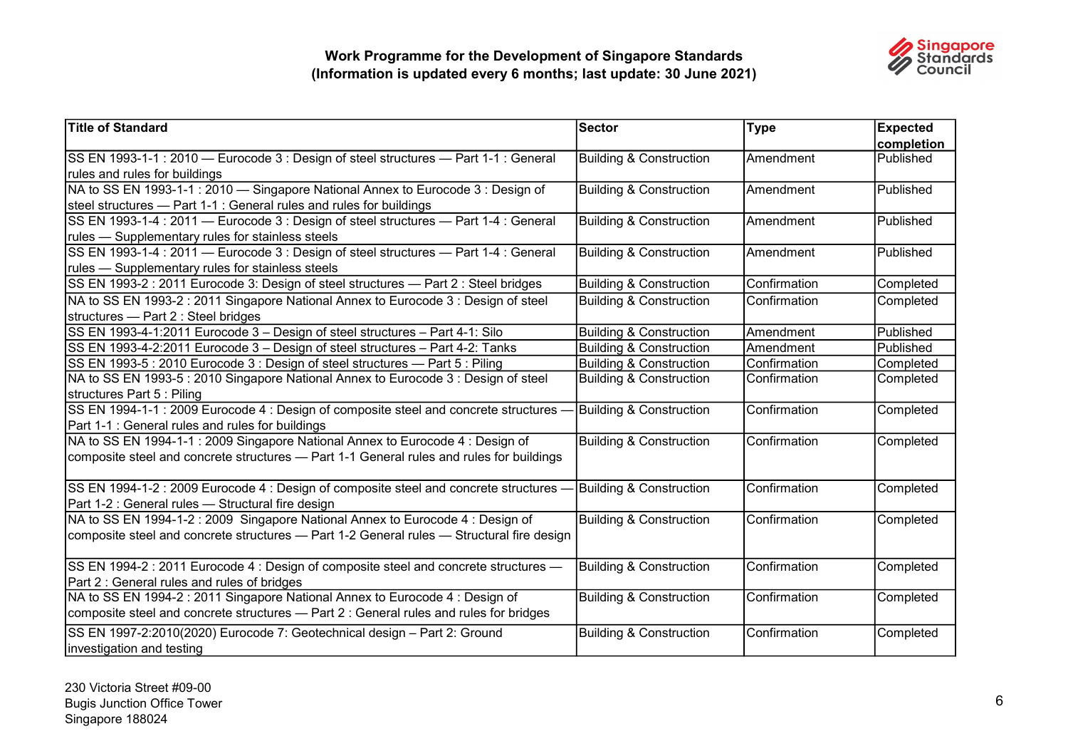

| <b>Title of Standard</b>                                                                  | <b>Sector</b>                      | <b>Type</b>   | <b>Expected</b> |
|-------------------------------------------------------------------------------------------|------------------------------------|---------------|-----------------|
|                                                                                           |                                    |               | completion      |
| SS EN 1993-1-1 : 2010 - Eurocode 3 : Design of steel structures - Part 1-1 : General      | <b>Building &amp; Construction</b> | Amendment     | Published       |
| rules and rules for buildings                                                             |                                    |               |                 |
| NA to SS EN 1993-1-1 : 2010 - Singapore National Annex to Eurocode 3 : Design of          | <b>Building &amp; Construction</b> | Amendment     | Published       |
| steel structures - Part 1-1 : General rules and rules for buildings                       |                                    |               |                 |
| SS EN 1993-1-4 : 2011 - Eurocode 3 : Design of steel structures - Part 1-4 : General      | <b>Building &amp; Construction</b> | IAmendment    | Published       |
| rules - Supplementary rules for stainless steels                                          |                                    |               |                 |
| SS EN 1993-1-4 : 2011 - Eurocode 3 : Design of steel structures - Part 1-4 : General      | <b>Building &amp; Construction</b> | Amendment     | Published       |
| rules - Supplementary rules for stainless steels                                          |                                    |               |                 |
| SS EN 1993-2 : 2011 Eurocode 3: Design of steel structures - Part 2 : Steel bridges       | <b>Building &amp; Construction</b> | Confirmation  | Completed       |
| NA to SS EN 1993-2 : 2011 Singapore National Annex to Eurocode 3 : Design of steel        | <b>Building &amp; Construction</b> | Confirmation  | Completed       |
| structures - Part 2 : Steel bridges                                                       |                                    |               |                 |
| SS EN 1993-4-1:2011 Eurocode 3 - Design of steel structures - Part 4-1: Silo              | <b>Building &amp; Construction</b> | Amendment     | Published       |
| SS EN 1993-4-2:2011 Eurocode 3 - Design of steel structures - Part 4-2: Tanks             | <b>Building &amp; Construction</b> | Amendment     | Published       |
| SS EN 1993-5 : 2010 Eurocode 3 : Design of steel structures - Part 5 : Piling             | <b>Building &amp; Construction</b> | Confirmation  | Completed       |
| NA to SS EN 1993-5 : 2010 Singapore National Annex to Eurocode 3 : Design of steel        | <b>Building &amp; Construction</b> | Confirmation  | Completed       |
| structures Part 5 : Piling                                                                |                                    |               |                 |
| SS EN 1994-1-1 : 2009 Eurocode 4 : Design of composite steel and concrete structures -    | Building & Construction            | IConfirmation | Completed       |
| Part 1-1 : General rules and rules for buildings                                          |                                    |               |                 |
| NA to SS EN 1994-1-1 : 2009 Singapore National Annex to Eurocode 4 : Design of            | <b>Building &amp; Construction</b> | Confirmation  | Completed       |
| composite steel and concrete structures — Part 1-1 General rules and rules for buildings  |                                    |               |                 |
|                                                                                           |                                    |               |                 |
| SS EN 1994-1-2 : 2009 Eurocode 4 : Design of composite steel and concrete structures      | <b>Building &amp; Construction</b> | Confirmation  | Completed       |
| Part 1-2 : General rules - Structural fire design                                         |                                    |               |                 |
| NA to SS EN 1994-1-2 : 2009 Singapore National Annex to Eurocode 4 : Design of            | Building & Construction            | Confirmation  | Completed       |
| composite steel and concrete structures - Part 1-2 General rules - Structural fire design |                                    |               |                 |
|                                                                                           |                                    |               |                 |
| SS EN 1994-2 : 2011 Eurocode 4 : Design of composite steel and concrete structures -      | <b>Building &amp; Construction</b> | Confirmation  | Completed       |
| Part 2 : General rules and rules of bridges                                               |                                    |               |                 |
| NA to SS EN 1994-2 : 2011 Singapore National Annex to Eurocode 4 : Design of              | <b>Building &amp; Construction</b> | Confirmation  | Completed       |
| composite steel and concrete structures - Part 2 : General rules and rules for bridges    |                                    |               |                 |
| SS EN 1997-2:2010(2020) Eurocode 7: Geotechnical design - Part 2: Ground                  | <b>Building &amp; Construction</b> | Confirmation  | Completed       |
| investigation and testing                                                                 |                                    |               |                 |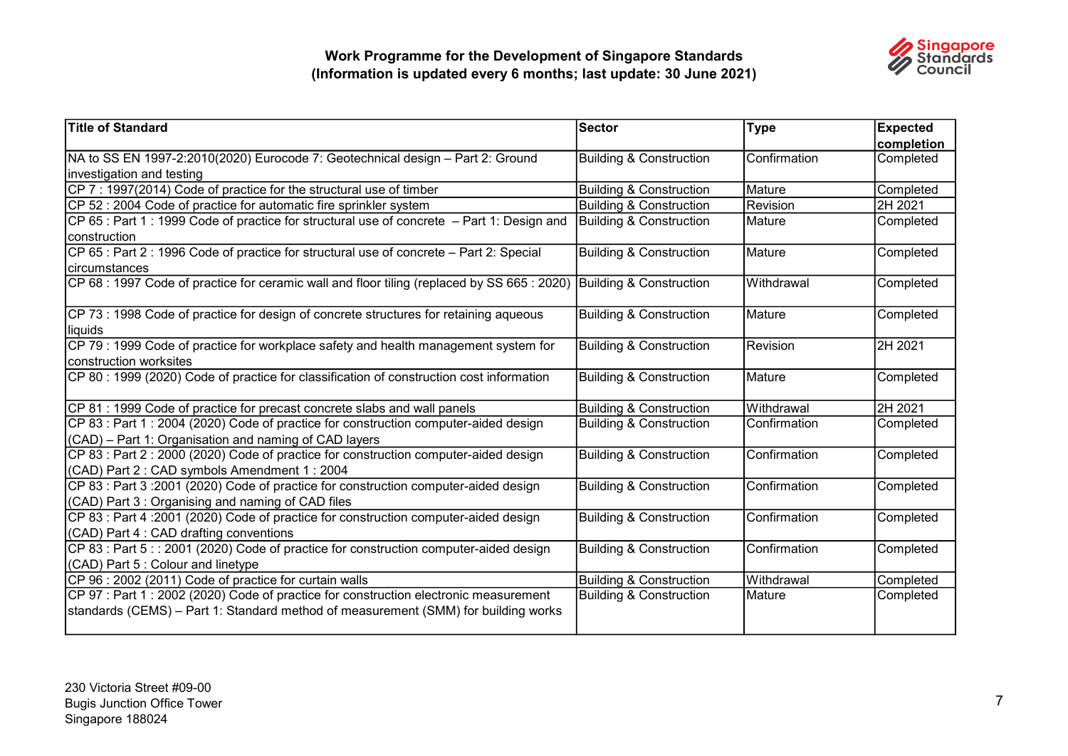

| <b>Title of Standard</b>                                                                    | Sector                             | <b>Type</b>     | <b>Expected</b> |
|---------------------------------------------------------------------------------------------|------------------------------------|-----------------|-----------------|
|                                                                                             |                                    |                 | completion      |
| NA to SS EN 1997-2:2010(2020) Eurocode 7: Geotechnical design - Part 2: Ground              | Building & Construction            | Confirmation    | Completed       |
| investigation and testing                                                                   |                                    |                 |                 |
| CP 7 : 1997(2014) Code of practice for the structural use of timber                         | <b>Building &amp; Construction</b> | Mature          | Completed       |
| CP 52 : 2004 Code of practice for automatic fire sprinkler system                           | <b>Building &amp; Construction</b> | Revision        | 2H 2021         |
| CP 65 : Part 1 : 1999 Code of practice for structural use of concrete – Part 1: Design and  | Building & Construction            | Mature          | Completed       |
| construction                                                                                |                                    |                 |                 |
| CP 65 : Part 2 : 1996 Code of practice for structural use of concrete - Part 2: Special     | <b>Building &amp; Construction</b> | Mature          | Completed       |
| <b>circumstances</b>                                                                        |                                    |                 |                 |
| CP 68 : 1997 Code of practice for ceramic wall and floor tiling (replaced by SS 665 : 2020) | Building & Construction            | Withdrawal      | Completed       |
|                                                                                             |                                    |                 |                 |
| CP 73 : 1998 Code of practice for design of concrete structures for retaining aqueous       | <b>Building &amp; Construction</b> | <b>I</b> Mature | Completed       |
| liquids                                                                                     |                                    |                 |                 |
| CP 79 : 1999 Code of practice for workplace safety and health management system for         | <b>Building &amp; Construction</b> | Revision        | 2H 2021         |
| construction worksites                                                                      |                                    |                 |                 |
| CP 80 : 1999 (2020) Code of practice for classification of construction cost information    | <b>Building &amp; Construction</b> | Mature          | Completed       |
|                                                                                             |                                    |                 |                 |
| CP 81 : 1999 Code of practice for precast concrete slabs and wall panels                    | <b>Building &amp; Construction</b> | İWithdrawal     | 2H 2021         |
| CP 83 : Part 1 : 2004 (2020) Code of practice for construction computer-aided design        | <b>Building &amp; Construction</b> | Confirmation    | Completed       |
| (CAD) - Part 1: Organisation and naming of CAD layers                                       |                                    |                 |                 |
| CP 83 : Part 2 : 2000 (2020) Code of practice for construction computer-aided design        | <b>Building &amp; Construction</b> | Confirmation    | Completed       |
| (CAD) Part 2: CAD symbols Amendment 1: 2004                                                 |                                    |                 |                 |
| CP 83 : Part 3 :2001 (2020) Code of practice for construction computer-aided design         | <b>Building &amp; Construction</b> | Confirmation    | Completed       |
| (CAD) Part 3 : Organising and naming of CAD files                                           |                                    |                 |                 |
| CP 83 : Part 4 :2001 (2020) Code of practice for construction computer-aided design         | <b>Building &amp; Construction</b> | Confirmation    | Completed       |
| (CAD) Part 4 : CAD drafting conventions                                                     |                                    |                 |                 |
| CP 83 : Part 5 : : 2001 (2020) Code of practice for construction computer-aided design      | <b>Building &amp; Construction</b> | Confirmation    | Completed       |
| (CAD) Part 5 : Colour and linetype                                                          |                                    |                 |                 |
| CP 96 : 2002 (2011) Code of practice for curtain walls                                      | <b>Building &amp; Construction</b> | İWithdrawal     | Completed       |
| CP 97 : Part 1 : 2002 (2020) Code of practice for construction electronic measurement       | <b>Building &amp; Construction</b> | Mature          | Completed       |
| standards (CEMS) - Part 1: Standard method of measurement (SMM) for building works          |                                    |                 |                 |
|                                                                                             |                                    |                 |                 |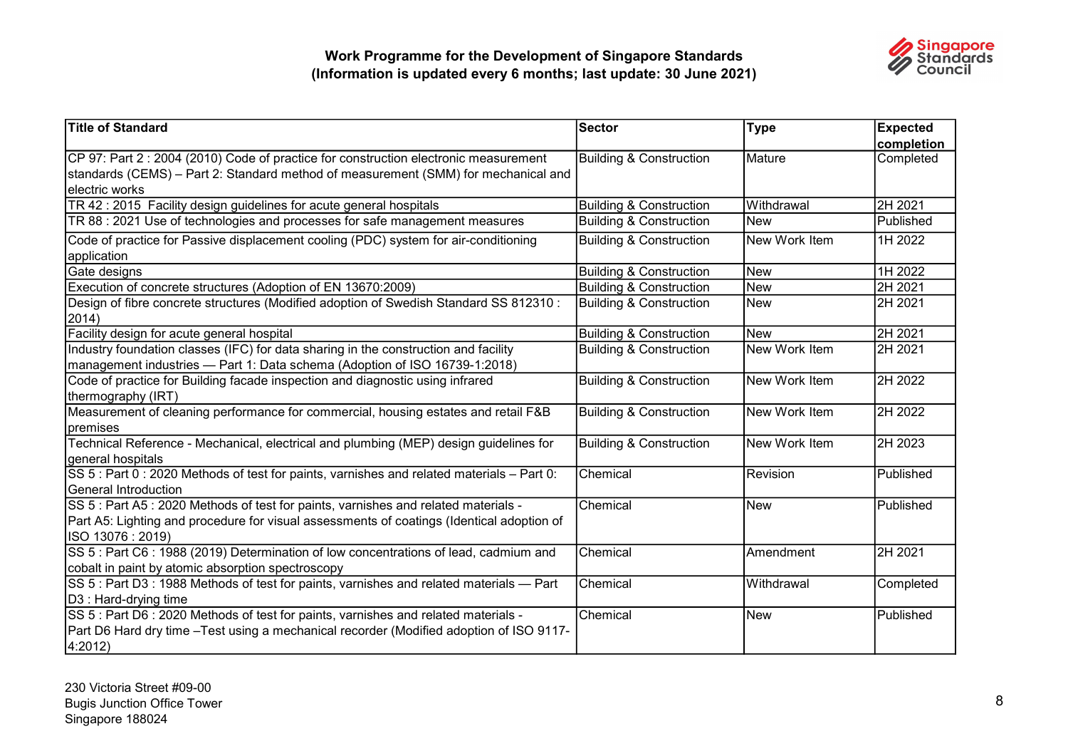

| <b>Title of Standard</b>                                                                   | Sector                             | <b>Type</b>   | <b>Expected</b> |
|--------------------------------------------------------------------------------------------|------------------------------------|---------------|-----------------|
|                                                                                            |                                    |               | completion      |
| CP 97: Part 2 : 2004 (2010) Code of practice for construction electronic measurement       | <b>Building &amp; Construction</b> | Mature        | Completed       |
| standards (CEMS) – Part 2: Standard method of measurement (SMM) for mechanical and         |                                    |               |                 |
| electric works                                                                             |                                    |               |                 |
| TR 42 : 2015 Facility design guidelines for acute general hospitals                        | <b>Building &amp; Construction</b> | Withdrawal    | 2H 2021         |
| TR 88 : 2021 Use of technologies and processes for safe management measures                | <b>Building &amp; Construction</b> | <b>New</b>    | Published       |
| Code of practice for Passive displacement cooling (PDC) system for air-conditioning        | <b>Building &amp; Construction</b> | New Work Item | 1H 2022         |
| application                                                                                |                                    |               |                 |
| Gate designs                                                                               | <b>Building &amp; Construction</b> | <b>New</b>    | 1H 2022         |
| Execution of concrete structures (Adoption of EN 13670:2009)                               | <b>Building &amp; Construction</b> | <b>New</b>    | 2H 2021         |
| Design of fibre concrete structures (Modified adoption of Swedish Standard SS 812310 :     | <b>Building &amp; Construction</b> | <b>New</b>    | 2H 2021         |
| 2014)                                                                                      |                                    |               |                 |
| Facility design for acute general hospital                                                 | <b>Building &amp; Construction</b> | <b>New</b>    | 2H 2021         |
| Industry foundation classes (IFC) for data sharing in the construction and facility        | <b>Building &amp; Construction</b> | New Work Item | 2H 2021         |
| management industries - Part 1: Data schema (Adoption of ISO 16739-1:2018)                 |                                    |               |                 |
| Code of practice for Building facade inspection and diagnostic using infrared              | <b>Building &amp; Construction</b> | New Work Item | 2H 2022         |
| thermography (IRT)                                                                         |                                    |               |                 |
| Measurement of cleaning performance for commercial, housing estates and retail F&B         | Building & Construction            | New Work Item | 2H 2022         |
| premises                                                                                   |                                    |               |                 |
| Technical Reference - Mechanical, electrical and plumbing (MEP) design guidelines for      | Building & Construction            | New Work Item | 2H 2023         |
| general hospitals                                                                          |                                    |               |                 |
| SS 5 : Part 0 : 2020 Methods of test for paints, varnishes and related materials - Part 0: | Chemical                           | Revision      | Published       |
| <b>General Introduction</b>                                                                |                                    |               |                 |
| SS 5 : Part A5 : 2020 Methods of test for paints, varnishes and related materials -        | Chemical                           | <b>New</b>    | Published       |
| Part A5: Lighting and procedure for visual assessments of coatings (Identical adoption of  |                                    |               |                 |
| ISO 13076: 2019)                                                                           |                                    |               |                 |
| SS 5 : Part C6 : 1988 (2019) Determination of low concentrations of lead, cadmium and      | Chemical                           | Amendment     | 2H 2021         |
| cobalt in paint by atomic absorption spectroscopy                                          |                                    |               |                 |
| SS 5 : Part D3 : 1988 Methods of test for paints, varnishes and related materials - Part   | Chemical                           | Withdrawal    | Completed       |
| D3 : Hard-drying time                                                                      |                                    |               |                 |
| SS 5 : Part D6 : 2020 Methods of test for paints, varnishes and related materials -        | Chemical                           | <b>New</b>    | Published       |
| Part D6 Hard dry time - Test using a mechanical recorder (Modified adoption of ISO 9117-   |                                    |               |                 |
| 4:2012)                                                                                    |                                    |               |                 |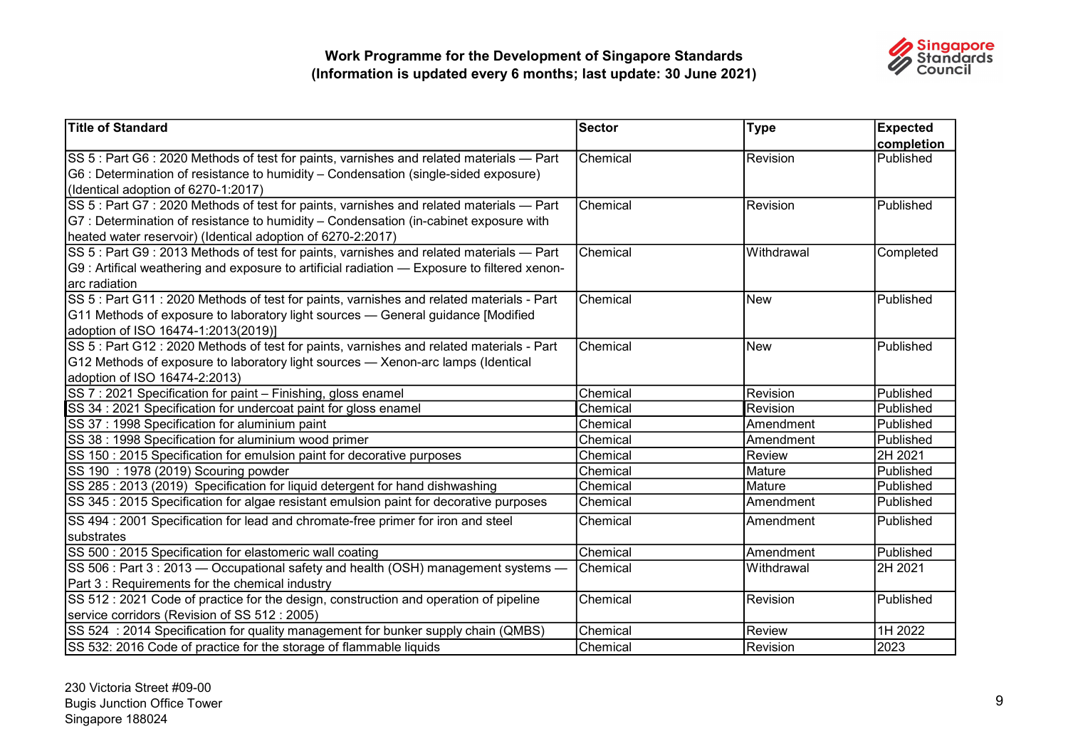

| <b>Title of Standard</b>                                                                     | Sector   | <b>Type</b>     | <b>Expected</b>  |
|----------------------------------------------------------------------------------------------|----------|-----------------|------------------|
|                                                                                              |          |                 | completion       |
| SS 5 : Part G6 : 2020 Methods of test for paints, varnishes and related materials — Part     | Chemical | <b>Revision</b> | <b>Published</b> |
| G6 : Determination of resistance to humidity - Condensation (single-sided exposure)          |          |                 |                  |
| (Identical adoption of 6270-1:2017)                                                          |          |                 |                  |
| SS 5 : Part G7 : 2020 Methods of test for paints, varnishes and related materials - Part     | Chemical | Revision        | Published        |
| G7 : Determination of resistance to humidity – Condensation (in-cabinet exposure with        |          |                 |                  |
| heated water reservoir) (Identical adoption of 6270-2:2017)                                  |          |                 |                  |
| SS 5 : Part G9 : 2013 Methods of test for paints, varnishes and related materials - Part     | Chemical | Withdrawal      | Completed        |
| G9 : Artifical weathering and exposure to artificial radiation - Exposure to filtered xenon- |          |                 |                  |
| arc radiation                                                                                |          |                 |                  |
| SS 5 : Part G11 : 2020 Methods of test for paints, varnishes and related materials - Part    | Chemical | New             | Published        |
| G11 Methods of exposure to laboratory light sources - General guidance [Modified             |          |                 |                  |
| adoption of ISO 16474-1:2013(2019)]                                                          |          |                 |                  |
| SS 5 : Part G12 : 2020 Methods of test for paints, varnishes and related materials - Part    | Chemical | <b>New</b>      | Published        |
| G12 Methods of exposure to laboratory light sources — Xenon-arc lamps (Identical             |          |                 |                  |
| adoption of ISO 16474-2:2013)                                                                |          |                 |                  |
| SS 7 : 2021 Specification for paint - Finishing, gloss enamel                                | Chemical | Revision        | <b>Published</b> |
| SS 34 : 2021 Specification for undercoat paint for gloss enamel                              | Chemical | Revision        | Published        |
| SS 37 : 1998 Specification for aluminium paint                                               | Chemical | Amendment       | Published        |
| SS 38 : 1998 Specification for aluminium wood primer                                         | Chemical | Amendment       | Published        |
| SS 150 : 2015 Specification for emulsion paint for decorative purposes                       | Chemical | Review          | 2H 2021          |
| SS 190 : 1978 (2019) Scouring powder                                                         | Chemical | Mature          | Published        |
| SS 285: 2013 (2019) Specification for liquid detergent for hand dishwashing                  | Chemical | IMature         | Published        |
| SS 345 : 2015 Specification for algae resistant emulsion paint for decorative purposes       | Chemical | Amendment       | Published        |
| SS 494 : 2001 Specification for lead and chromate-free primer for iron and steel             | Chemical | Amendment       | Published        |
| substrates                                                                                   |          |                 |                  |
| SS 500 : 2015 Specification for elastomeric wall coating                                     | Chemical | Amendment       | Published        |
| SS 506 : Part 3 : 2013 — Occupational safety and health (OSH) management systems —           | Chemical | Withdrawal      | 2H 2021          |
| Part 3 : Requirements for the chemical industry                                              |          |                 |                  |
| SS 512 : 2021 Code of practice for the design, construction and operation of pipeline        | Chemical | Revision        | Published        |
| service corridors (Revision of SS 512 : 2005)                                                |          |                 |                  |
| SS 524: 2014 Specification for quality management for bunker supply chain (QMBS)             | Chemical | Review          | 1H 2022          |
| SS 532: 2016 Code of practice for the storage of flammable liquids                           | Chemical | Revision        | 2023             |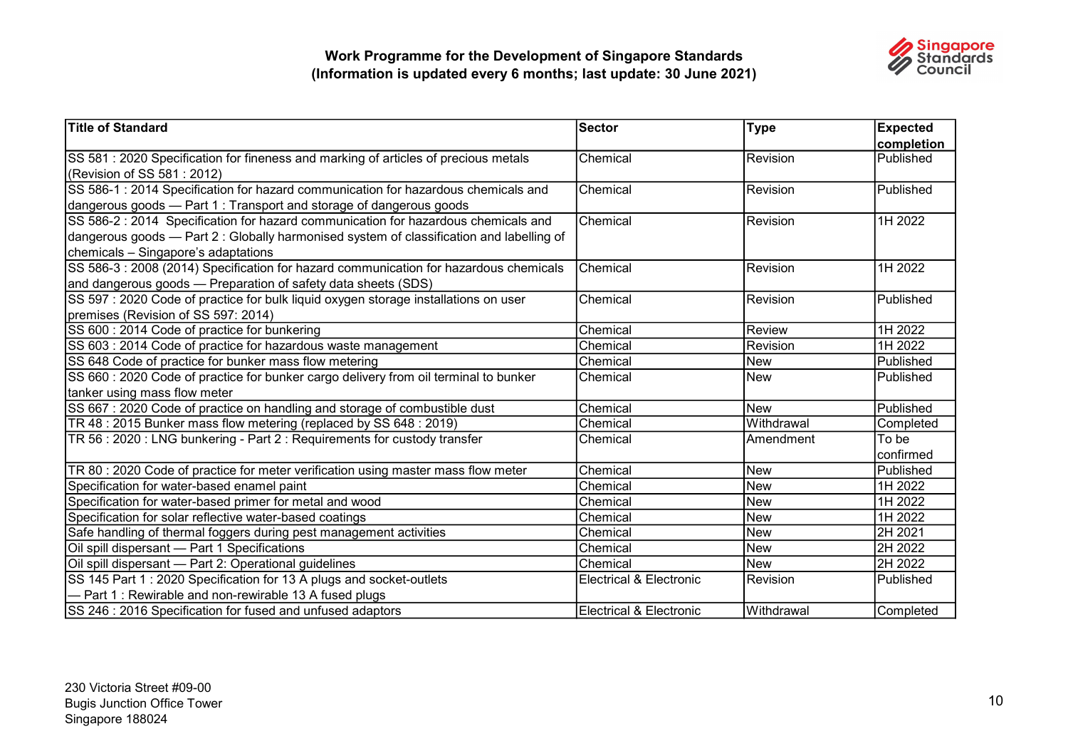

| Title of Standard                                                                                                  | Sector                             | <b>Type</b>   | <b>Expected</b> |
|--------------------------------------------------------------------------------------------------------------------|------------------------------------|---------------|-----------------|
|                                                                                                                    |                                    |               | completion      |
| SS 581 : 2020 Specification for fineness and marking of articles of precious metals<br>(Revision of SS 581 : 2012) | Chemical                           | Revision      | Published       |
| SS 586-1 : 2014 Specification for hazard communication for hazardous chemicals and                                 | Chemical                           | Revision      | Published       |
| dangerous goods — Part 1: Transport and storage of dangerous goods                                                 |                                    |               |                 |
| SS 586-2 : 2014 Specification for hazard communication for hazardous chemicals and                                 | Chemical                           | Revision      | 1H 2022         |
| dangerous goods — Part 2 : Globally harmonised system of classification and labelling of                           |                                    |               |                 |
| chemicals - Singapore's adaptations                                                                                |                                    |               |                 |
| SS 586-3 : 2008 (2014) Specification for hazard communication for hazardous chemicals                              | Chemical                           | Revision      | 1H 2022         |
| and dangerous goods - Preparation of safety data sheets (SDS)                                                      |                                    |               |                 |
| SS 597 : 2020 Code of practice for bulk liquid oxygen storage installations on user                                | Chemical                           | Revision      | Published       |
| premises (Revision of SS 597: 2014)                                                                                |                                    |               |                 |
| SS 600 : 2014 Code of practice for bunkering                                                                       | Chemical                           | <b>Review</b> | 1H 2022         |
| SS 603 : 2014 Code of practice for hazardous waste management                                                      | Chemical                           | Revision      | 1H 2022         |
| SS 648 Code of practice for bunker mass flow metering                                                              | Chemical                           | <b>New</b>    | Published       |
| SS 660 : 2020 Code of practice for bunker cargo delivery from oil terminal to bunker                               | Chemical                           | <b>New</b>    | Published       |
| tanker using mass flow meter                                                                                       |                                    |               |                 |
| SS 667 : 2020 Code of practice on handling and storage of combustible dust                                         | Chemical                           | New           | Published       |
| TR 48 : 2015 Bunker mass flow metering (replaced by SS 648 : 2019)                                                 | Chemical                           | Withdrawal    | Completed       |
| TR 56 : 2020 : LNG bunkering - Part 2 : Requirements for custody transfer                                          | Chemical                           | Amendment     | To be           |
|                                                                                                                    |                                    |               | confirmed       |
| TR 80 : 2020 Code of practice for meter verification using master mass flow meter                                  | Chemical                           | <b>New</b>    | Published       |
| Specification for water-based enamel paint                                                                         | Chemical                           | <b>New</b>    | 1H 2022         |
| Specification for water-based primer for metal and wood                                                            | Chemical                           | <b>New</b>    | 1H 2022         |
| Specification for solar reflective water-based coatings                                                            | Chemical                           | <b>New</b>    | 1H 2022         |
| Safe handling of thermal foggers during pest management activities                                                 | Chemical                           | <b>New</b>    | 2H 2021         |
| Oil spill dispersant - Part 1 Specifications                                                                       | Chemical                           | <b>New</b>    | 2H 2022         |
| Oil spill dispersant - Part 2: Operational guidelines                                                              | Chemical                           | <b>New</b>    | 2H 2022         |
| SS 145 Part 1 : 2020 Specification for 13 A plugs and socket-outlets                                               | <b>Electrical &amp; Electronic</b> | Revision      | Published       |
| - Part 1: Rewirable and non-rewirable 13 A fused plugs                                                             |                                    |               |                 |
| SS 246 : 2016 Specification for fused and unfused adaptors                                                         | <b>Electrical &amp; Electronic</b> | Withdrawal    | Completed       |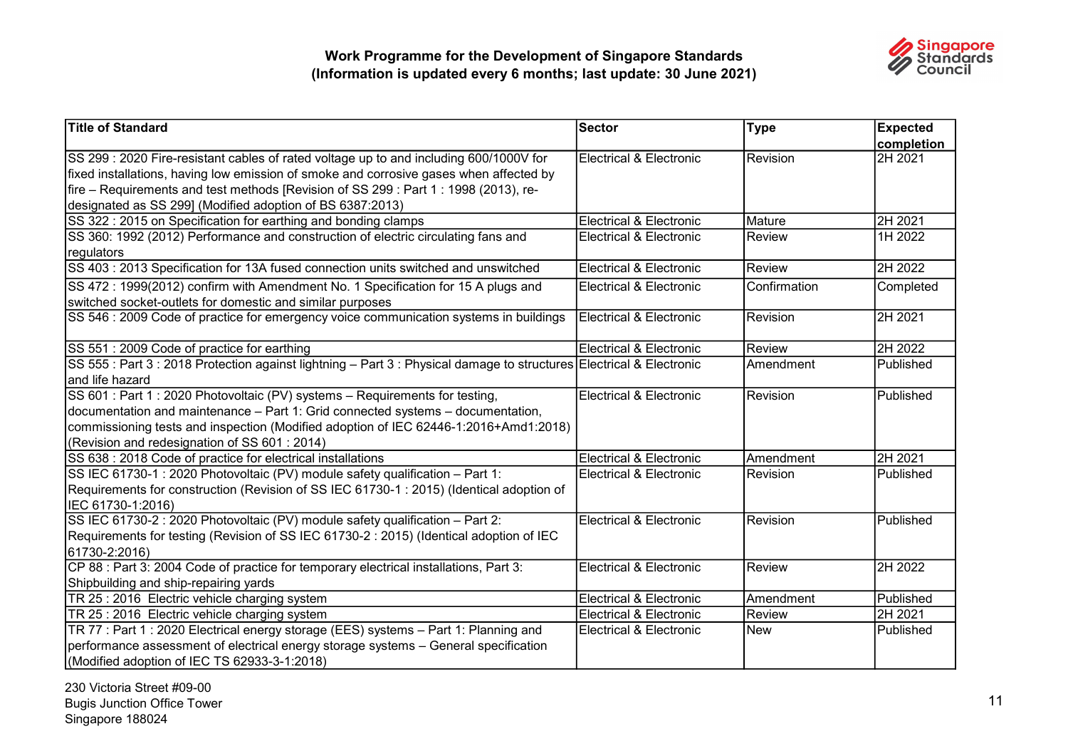

| <b>Title of Standard</b>                                                                                          | <b>Sector</b>                      | <b>Type</b>    | <b>Expected</b>  |
|-------------------------------------------------------------------------------------------------------------------|------------------------------------|----------------|------------------|
|                                                                                                                   |                                    |                | completion       |
| SS 299: 2020 Fire-resistant cables of rated voltage up to and including 600/1000V for                             | Electrical & Electronic            | Revision       | 2H 2021          |
| fixed installations, having low emission of smoke and corrosive gases when affected by                            |                                    |                |                  |
| fire – Requirements and test methods [Revision of SS 299 : Part 1 : 1998 (2013), re-                              |                                    |                |                  |
| designated as SS 299] (Modified adoption of BS 6387:2013)                                                         |                                    |                |                  |
| SS 322 : 2015 on Specification for earthing and bonding clamps                                                    | <b>Electrical &amp; Electronic</b> | <b>M</b> ature | 2H 2021          |
| SS 360: 1992 (2012) Performance and construction of electric circulating fans and                                 | Electrical & Electronic            | Review         | 1H 2022          |
| regulators                                                                                                        |                                    |                |                  |
| SS 403 : 2013 Specification for 13A fused connection units switched and unswitched                                | <b>Electrical &amp; Electronic</b> | Review         | 2H 2022          |
| SS 472 : 1999(2012) confirm with Amendment No. 1 Specification for 15 A plugs and                                 | <b>Electrical &amp; Electronic</b> | Confirmation   | Completed        |
| switched socket-outlets for domestic and similar purposes                                                         |                                    |                |                  |
| SS 546 : 2009 Code of practice for emergency voice communication systems in buildings                             | Electrical & Electronic            | Revision       | 2H 2021          |
|                                                                                                                   |                                    |                |                  |
| SS 551 : 2009 Code of practice for earthing                                                                       | <b>Electrical &amp; Electronic</b> | Review         | 2H 2022          |
| SS 555: Part 3: 2018 Protection against lightning - Part 3: Physical damage to structures Electrical & Electronic |                                    | Amendment      | Published        |
| and life hazard                                                                                                   |                                    |                |                  |
| SS 601 : Part 1 : 2020 Photovoltaic (PV) systems - Requirements for testing,                                      | <b>Electrical &amp; Electronic</b> | Revision       | Published        |
| documentation and maintenance - Part 1: Grid connected systems - documentation,                                   |                                    |                |                  |
| commissioning tests and inspection (Modified adoption of IEC 62446-1:2016+Amd1:2018)                              |                                    |                |                  |
| (Revision and redesignation of SS 601 : 2014)                                                                     |                                    |                |                  |
| SS 638 : 2018 Code of practice for electrical installations                                                       | <b>Electrical &amp; Electronic</b> | Amendment      | 2H 2021          |
| SS IEC 61730-1 : 2020 Photovoltaic (PV) module safety qualification - Part 1:                                     | Electrical & Electronic            | Revision       | <b>Published</b> |
| Requirements for construction (Revision of SS IEC 61730-1 : 2015) (Identical adoption of                          |                                    |                |                  |
| IEC 61730-1:2016)                                                                                                 |                                    |                |                  |
| SS IEC 61730-2 : 2020 Photovoltaic (PV) module safety qualification - Part 2:                                     | Electrical & Electronic            | Revision       | Published        |
| Requirements for testing (Revision of SS IEC 61730-2 : 2015) (Identical adoption of IEC                           |                                    |                |                  |
| 61730-2:2016)                                                                                                     |                                    |                |                  |
| CP 88 : Part 3: 2004 Code of practice for temporary electrical installations, Part 3:                             | <b>Electrical &amp; Electronic</b> | <b>Review</b>  | 2H 2022          |
| Shipbuilding and ship-repairing yards                                                                             |                                    |                |                  |
| TR 25 : 2016 Electric vehicle charging system                                                                     | <b>Electrical &amp; Electronic</b> | Amendment      | Published        |
| TR 25 : 2016 Electric vehicle charging system                                                                     | <b>Electrical &amp; Electronic</b> | Review         | 2H 2021          |
| TR 77 : Part 1 : 2020 Electrical energy storage (EES) systems - Part 1: Planning and                              | Electrical & Electronic            | <b>New</b>     | Published        |
| performance assessment of electrical energy storage systems - General specification                               |                                    |                |                  |
| (Modified adoption of IEC TS 62933-3-1:2018)                                                                      |                                    |                |                  |

230 Victoria Street #09-00 Bugis Junction Office Tower Singapore 188024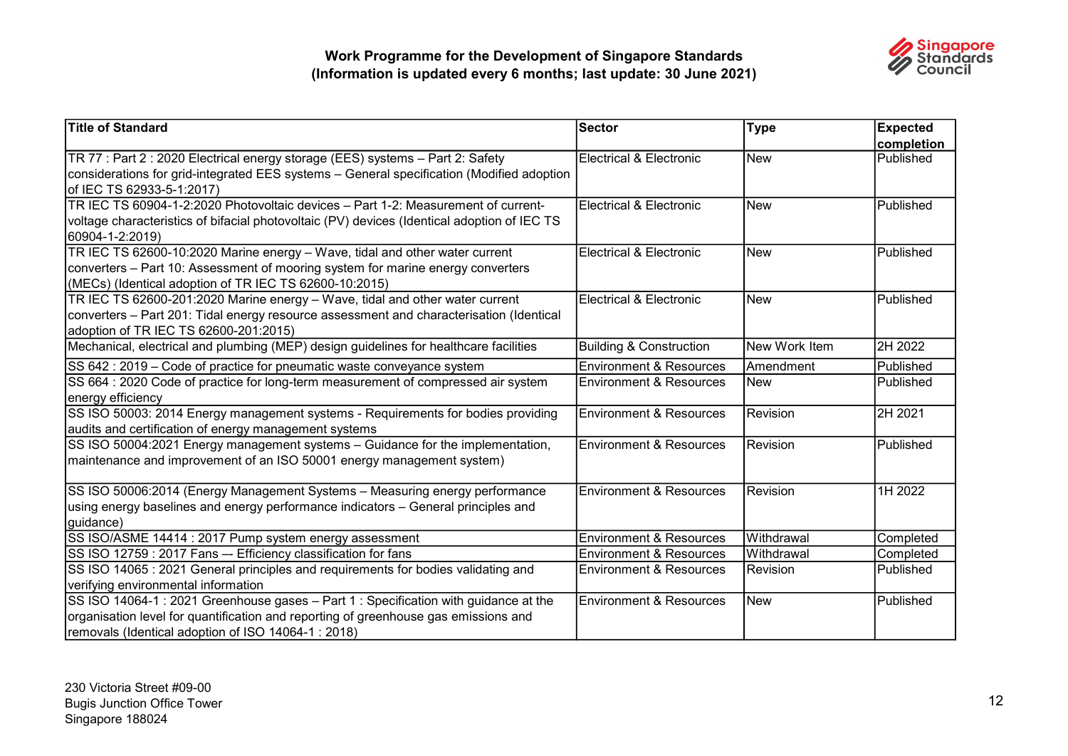

| <b>Title of Standard</b>                                                                    | Sector                             | <b>Type</b>   | <b>Expected</b> |
|---------------------------------------------------------------------------------------------|------------------------------------|---------------|-----------------|
|                                                                                             |                                    |               | completion      |
| TR 77 : Part 2 : 2020 Electrical energy storage (EES) systems - Part 2: Safety              | Electrical & Electronic            | <b>New</b>    | Published       |
| considerations for grid-integrated EES systems - General specification (Modified adoption   |                                    |               |                 |
| of IEC TS 62933-5-1:2017)                                                                   |                                    |               |                 |
| TR IEC TS 60904-1-2:2020 Photovoltaic devices - Part 1-2: Measurement of current-           | Electrical & Electronic            | <b>New</b>    | Published       |
| voltage characteristics of bifacial photovoltaic (PV) devices (Identical adoption of IEC TS |                                    |               |                 |
| 60904-1-2:2019)                                                                             |                                    |               |                 |
| TR IEC TS 62600-10:2020 Marine energy - Wave, tidal and other water current                 | Electrical & Electronic            | <b>New</b>    | Published       |
| converters - Part 10: Assessment of mooring system for marine energy converters             |                                    |               |                 |
| (MECs) (Identical adoption of TR IEC TS 62600-10:2015)                                      |                                    |               |                 |
| TR IEC TS 62600-201:2020 Marine energy - Wave, tidal and other water current                | Electrical & Electronic            | <b>New</b>    | Published       |
| converters - Part 201: Tidal energy resource assessment and characterisation (Identical     |                                    |               |                 |
| adoption of TR IEC TS 62600-201:2015)                                                       |                                    |               |                 |
| Mechanical, electrical and plumbing (MEP) design guidelines for healthcare facilities       | <b>Building &amp; Construction</b> | New Work Item | 2H 2022         |
| SS 642 : 2019 - Code of practice for pneumatic waste conveyance system                      | <b>Environment &amp; Resources</b> | Amendment     | Published       |
| SS 664 : 2020 Code of practice for long-term measurement of compressed air system           | <b>Environment &amp; Resources</b> | <b>New</b>    | Published       |
| energy efficiency                                                                           |                                    |               |                 |
| SS ISO 50003: 2014 Energy management systems - Requirements for bodies providing            | <b>Environment &amp; Resources</b> | Revision      | 2H 2021         |
| audits and certification of energy management systems                                       |                                    |               |                 |
| SS ISO 50004:2021 Energy management systems - Guidance for the implementation,              | <b>Environment &amp; Resources</b> | Revision      | Published       |
| maintenance and improvement of an ISO 50001 energy management system)                       |                                    |               |                 |
|                                                                                             |                                    |               |                 |
| SS ISO 50006:2014 (Energy Management Systems - Measuring energy performance                 | <b>Environment &amp; Resources</b> | Revision      | 1H 2022         |
| using energy baselines and energy performance indicators – General principles and           |                                    |               |                 |
| guidance)                                                                                   |                                    |               |                 |
| SS ISO/ASME 14414 : 2017 Pump system energy assessment                                      | <b>Environment &amp; Resources</b> | Withdrawal    | Completed       |
| SS ISO 12759 : 2017 Fans -- Efficiency classification for fans                              | <b>Environment &amp; Resources</b> | Withdrawal    | Completed       |
| SS ISO 14065 : 2021 General principles and requirements for bodies validating and           | <b>Environment &amp; Resources</b> | Revision      | Published       |
| verifying environmental information                                                         |                                    |               |                 |
| SS ISO 14064-1 : 2021 Greenhouse gases - Part 1 : Specification with guidance at the        | <b>Environment &amp; Resources</b> | <b>New</b>    | Published       |
| organisation level for quantification and reporting of greenhouse gas emissions and         |                                    |               |                 |
| removals (Identical adoption of ISO 14064-1 : 2018)                                         |                                    |               |                 |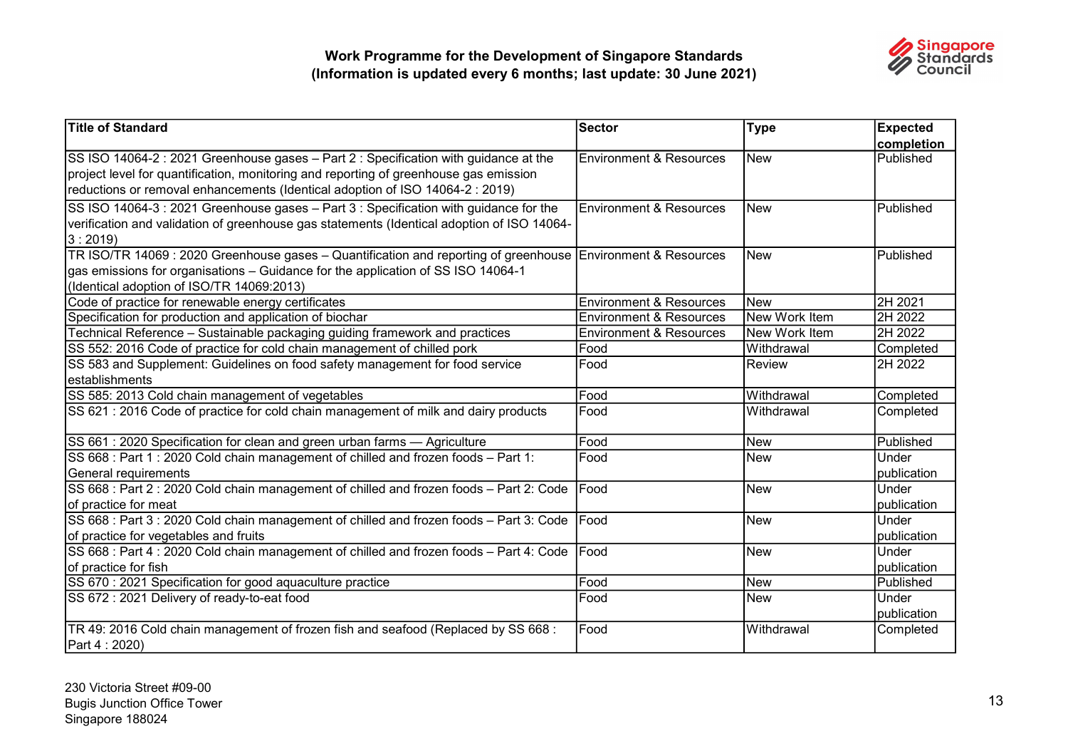

| <b>Title of Standard</b>                                                                                     | Sector                             | <b>Type</b>   | <b>Expected</b> |
|--------------------------------------------------------------------------------------------------------------|------------------------------------|---------------|-----------------|
|                                                                                                              |                                    |               | completion      |
| SS ISO 14064-2 : 2021 Greenhouse gases - Part 2 : Specification with guidance at the                         | <b>Environment &amp; Resources</b> | <b>New</b>    | Published       |
| project level for quantification, monitoring and reporting of greenhouse gas emission                        |                                    |               |                 |
| reductions or removal enhancements (Identical adoption of ISO 14064-2 : 2019)                                |                                    |               |                 |
| SS ISO 14064-3 : 2021 Greenhouse gases - Part 3 : Specification with guidance for the                        | Environment & Resources            | <b>New</b>    | Published       |
| verification and validation of greenhouse gas statements (Identical adoption of ISO 14064-                   |                                    |               |                 |
| 3:2019                                                                                                       |                                    |               |                 |
| TR ISO/TR 14069 : 2020 Greenhouse gases – Quantification and reporting of greenhouse Environment & Resources |                                    | <b>New</b>    | Published       |
| gas emissions for organisations - Guidance for the application of SS ISO 14064-1                             |                                    |               |                 |
| (Identical adoption of ISO/TR 14069:2013)                                                                    |                                    |               |                 |
| Code of practice for renewable energy certificates                                                           | <b>Environment &amp; Resources</b> | <b>New</b>    | 2H 2021         |
| Specification for production and application of biochar                                                      | <b>Environment &amp; Resources</b> | New Work Item | 2H 2022         |
| Technical Reference - Sustainable packaging guiding framework and practices                                  | <b>Environment &amp; Resources</b> | New Work Item | 2H 2022         |
| SS 552: 2016 Code of practice for cold chain management of chilled pork                                      | Food                               | Withdrawal    | Completed       |
| SS 583 and Supplement: Guidelines on food safety management for food service                                 | Food                               | Review        | 2H 2022         |
| establishments                                                                                               |                                    |               |                 |
| SS 585: 2013 Cold chain management of vegetables                                                             | Food                               | Withdrawal    | Completed       |
| SS 621 : 2016 Code of practice for cold chain management of milk and dairy products                          | Food                               | Withdrawal    | Completed       |
| SS 661 : 2020 Specification for clean and green urban farms - Agriculture                                    | Food                               | <b>New</b>    | Published       |
| SS 668 : Part 1 : 2020 Cold chain management of chilled and frozen foods - Part 1:                           | Food                               | <b>New</b>    | Under           |
| General requirements                                                                                         |                                    |               | publication     |
| SS 668 : Part 2 : 2020 Cold chain management of chilled and frozen foods - Part 2: Code                      | Food                               | <b>New</b>    | Under           |
| of practice for meat                                                                                         |                                    |               | publication     |
| SS 668 : Part 3 : 2020 Cold chain management of chilled and frozen foods - Part 3: Code                      | <b>IFood</b>                       | <b>New</b>    | Under           |
| of practice for vegetables and fruits                                                                        |                                    |               | publication     |
| SS 668 : Part 4 : 2020 Cold chain management of chilled and frozen foods - Part 4: Code                      | Food                               | <b>New</b>    | Under           |
| of practice for fish                                                                                         |                                    |               | publication     |
| SS 670 : 2021 Specification for good aquaculture practice                                                    | Food                               | <b>New</b>    | Published       |
| SS 672 : 2021 Delivery of ready-to-eat food                                                                  | Food                               | <b>New</b>    | Under           |
|                                                                                                              |                                    |               | publication     |
| TR 49: 2016 Cold chain management of frozen fish and seafood (Replaced by SS 668 :                           | Food                               | Withdrawal    | Completed       |
| Part 4 : 2020)                                                                                               |                                    |               |                 |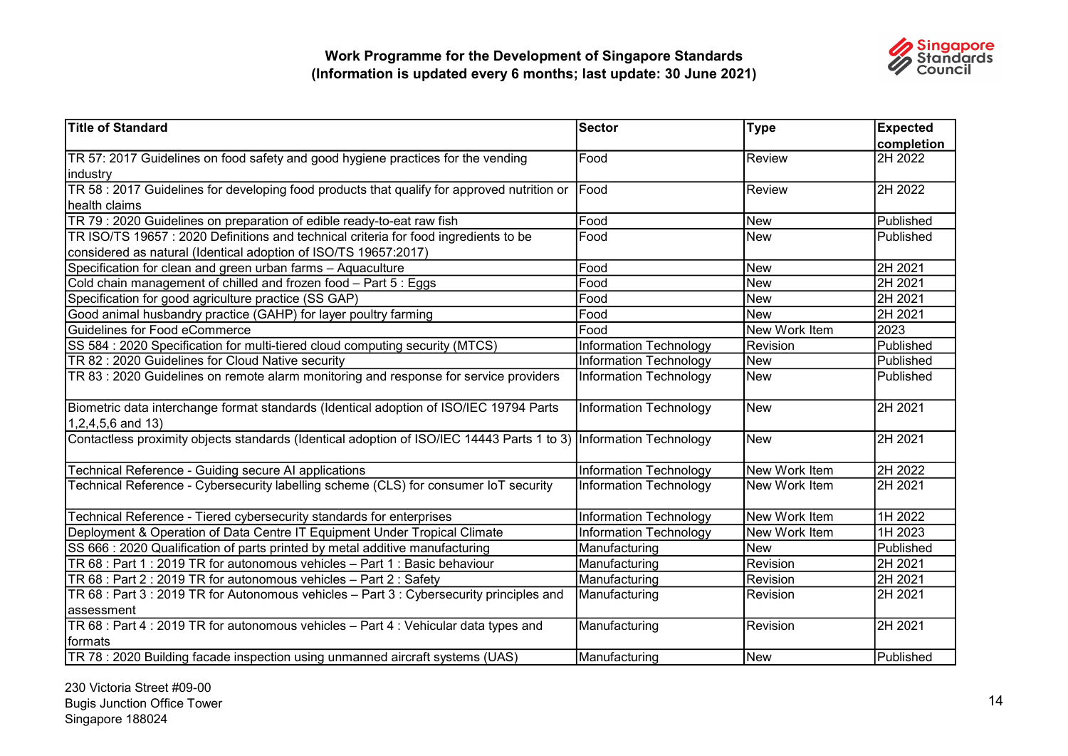

| Title of Standard                                                                                                                                      | Sector                        | <b>Type</b>   | <b>Expected</b><br>completion |
|--------------------------------------------------------------------------------------------------------------------------------------------------------|-------------------------------|---------------|-------------------------------|
| TR 57: 2017 Guidelines on food safety and good hygiene practices for the vending<br>industry                                                           | Food                          | Review        | 2H 2022                       |
| TR 58 : 2017 Guidelines for developing food products that qualify for approved nutrition or<br>health claims                                           | Food                          | Review        | 2H 2022                       |
| TR 79 : 2020 Guidelines on preparation of edible ready-to-eat raw fish                                                                                 | Food                          | New           | Published                     |
| TR ISO/TS 19657: 2020 Definitions and technical criteria for food ingredients to be<br>considered as natural (Identical adoption of ISO/TS 19657:2017) | Food                          | <b>New</b>    | Published                     |
| Specification for clean and green urban farms - Aquaculture                                                                                            | Food                          | New           | 2H 2021                       |
| Cold chain management of chilled and frozen food - Part 5 : Eggs                                                                                       | Food                          | <b>New</b>    | 2H 2021                       |
| Specification for good agriculture practice (SS GAP)                                                                                                   | Food                          | <b>New</b>    | 2H 2021                       |
| Good animal husbandry practice (GAHP) for layer poultry farming                                                                                        | Food                          | <b>New</b>    | 2H 2021                       |
| Guidelines for Food eCommerce                                                                                                                          | Food                          | New Work Item | 2023                          |
| SS 584 : 2020 Specification for multi-tiered cloud computing security (MTCS)                                                                           | <b>Information Technology</b> | Revision      | Published                     |
| TR 82 : 2020 Guidelines for Cloud Native security                                                                                                      | Information Technology        | New           | Published                     |
| TR 83 : 2020 Guidelines on remote alarm monitoring and response for service providers                                                                  | Information Technology        | New           | Published                     |
| Biometric data interchange format standards (Identical adoption of ISO/IEC 19794 Parts                                                                 | <b>Information Technology</b> | New           | 2H 2021                       |
| $1,2,4,5,6$ and $13)$                                                                                                                                  |                               |               |                               |
| Contactless proximity objects standards (Identical adoption of ISO/IEC 14443 Parts 1 to 3) Information Technology                                      |                               | New           | 2H 2021                       |
| Technical Reference - Guiding secure AI applications                                                                                                   | Information Technology        | New Work Item | 2H 2022                       |
| Technical Reference - Cybersecurity labelling scheme (CLS) for consumer IoT security                                                                   | Information Technology        | New Work Item | 2H 2021                       |
| Technical Reference - Tiered cybersecurity standards for enterprises                                                                                   | <b>Information Technology</b> | New Work Item | 1H 2022                       |
| Deployment & Operation of Data Centre IT Equipment Under Tropical Climate                                                                              | <b>Information Technology</b> | New Work Item | 1H 2023                       |
| SS 666 : 2020 Qualification of parts printed by metal additive manufacturing                                                                           | Manufacturing                 | <b>New</b>    | Published                     |
| TR 68 : Part 1 : 2019 TR for autonomous vehicles - Part 1 : Basic behaviour                                                                            | Manufacturing                 | Revision      | 2H 2021                       |
| TR 68 : Part 2 : 2019 TR for autonomous vehicles - Part 2 : Safety                                                                                     | Manufacturing                 | Revision      | 2H 2021                       |
| TR 68 : Part 3 : 2019 TR for Autonomous vehicles - Part 3 : Cybersecurity principles and<br>assessment                                                 | Manufacturing                 | Revision      | 2H 2021                       |
| TR 68 : Part 4 : 2019 TR for autonomous vehicles - Part 4 : Vehicular data types and<br>formats                                                        | Manufacturing                 | Revision      | 2H 2021                       |
| TR 78 : 2020 Building facade inspection using unmanned aircraft systems (UAS)                                                                          | Manufacturing                 | New           | Published                     |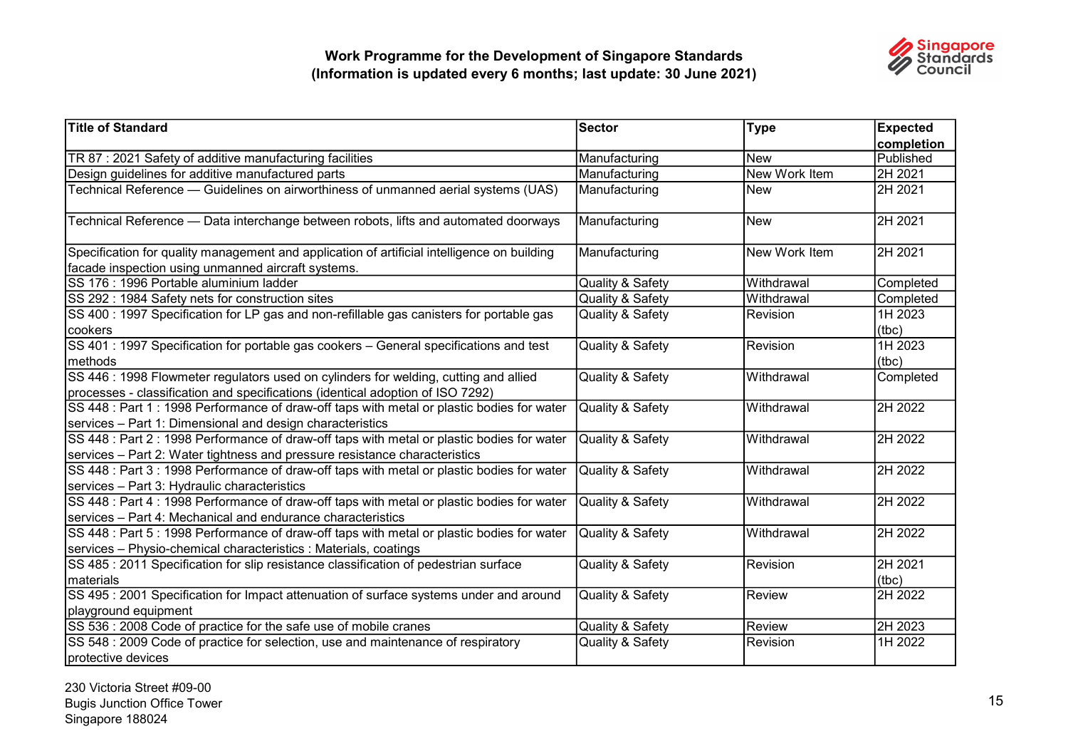

| <b>Title of Standard</b>                                                                                                                                                 | Sector           | <b>Type</b>          | <b>Expected</b>  |
|--------------------------------------------------------------------------------------------------------------------------------------------------------------------------|------------------|----------------------|------------------|
|                                                                                                                                                                          |                  |                      | completion       |
| TR 87 : 2021 Safety of additive manufacturing facilities                                                                                                                 | Manufacturing    | <b>New</b>           | Published        |
| Design guidelines for additive manufactured parts                                                                                                                        | Manufacturing    | <b>New Work Item</b> | 2H 2021          |
| Technical Reference — Guidelines on airworthiness of unmanned aerial systems (UAS)                                                                                       | Manufacturing    | <b>New</b>           | 2H 2021          |
| Technical Reference — Data interchange between robots, lifts and automated doorways                                                                                      | Manufacturing    | <b>New</b>           | 2H 2021          |
| Specification for quality management and application of artificial intelligence on building                                                                              | Manufacturing    | New Work Item        | 2H 2021          |
| facade inspection using unmanned aircraft systems.                                                                                                                       |                  |                      |                  |
| SS 176 : 1996 Portable aluminium ladder                                                                                                                                  | Quality & Safety | Withdrawal           | Completed        |
| SS 292: 1984 Safety nets for construction sites                                                                                                                          | Quality & Safety | Withdrawal           | Completed        |
| SS 400 : 1997 Specification for LP gas and non-refillable gas canisters for portable gas<br>cookers                                                                      | Quality & Safety | Revision             | 1H 2023<br>(tbc) |
| SS 401 : 1997 Specification for portable gas cookers - General specifications and test<br>methods                                                                        | Quality & Safety | Revision             | 1H 2023<br>(tbc) |
| SS 446 : 1998 Flowmeter regulators used on cylinders for welding, cutting and allied<br>processes - classification and specifications (identical adoption of ISO 7292)   | Quality & Safety | Withdrawal           | Completed        |
| SS 448 : Part 1 : 1998 Performance of draw-off taps with metal or plastic bodies for water<br>services - Part 1: Dimensional and design characteristics                  | Quality & Safety | Withdrawal           | 2H 2022          |
| SS 448 : Part 2 : 1998 Performance of draw-off taps with metal or plastic bodies for water<br>services - Part 2: Water tightness and pressure resistance characteristics | Quality & Safety | Withdrawal           | 2H 2022          |
| SS 448 : Part 3 : 1998 Performance of draw-off taps with metal or plastic bodies for water<br>services - Part 3: Hydraulic characteristics                               | Quality & Safety | Withdrawal           | 2H 2022          |
| SS 448 : Part 4 : 1998 Performance of draw-off taps with metal or plastic bodies for water<br>services - Part 4: Mechanical and endurance characteristics                | Quality & Safety | Withdrawal           | 2H 2022          |
| SS 448 : Part 5 : 1998 Performance of draw-off taps with metal or plastic bodies for water<br>services - Physio-chemical characteristics : Materials, coatings           | Quality & Safety | Withdrawal           | 2H 2022          |
| SS 485 : 2011 Specification for slip resistance classification of pedestrian surface<br>materials                                                                        | Quality & Safety | Revision             | 2H 2021<br>(tbc) |
| SS 495 : 2001 Specification for Impact attenuation of surface systems under and around<br>playground equipment                                                           | Quality & Safety | <b>Review</b>        | 2H 2022          |
| SS 536 : 2008 Code of practice for the safe use of mobile cranes                                                                                                         | Quality & Safety | Review               | 2H 2023          |
| SS 548 : 2009 Code of practice for selection, use and maintenance of respiratory<br>protective devices                                                                   | Quality & Safety | Revision             | 1H 2022          |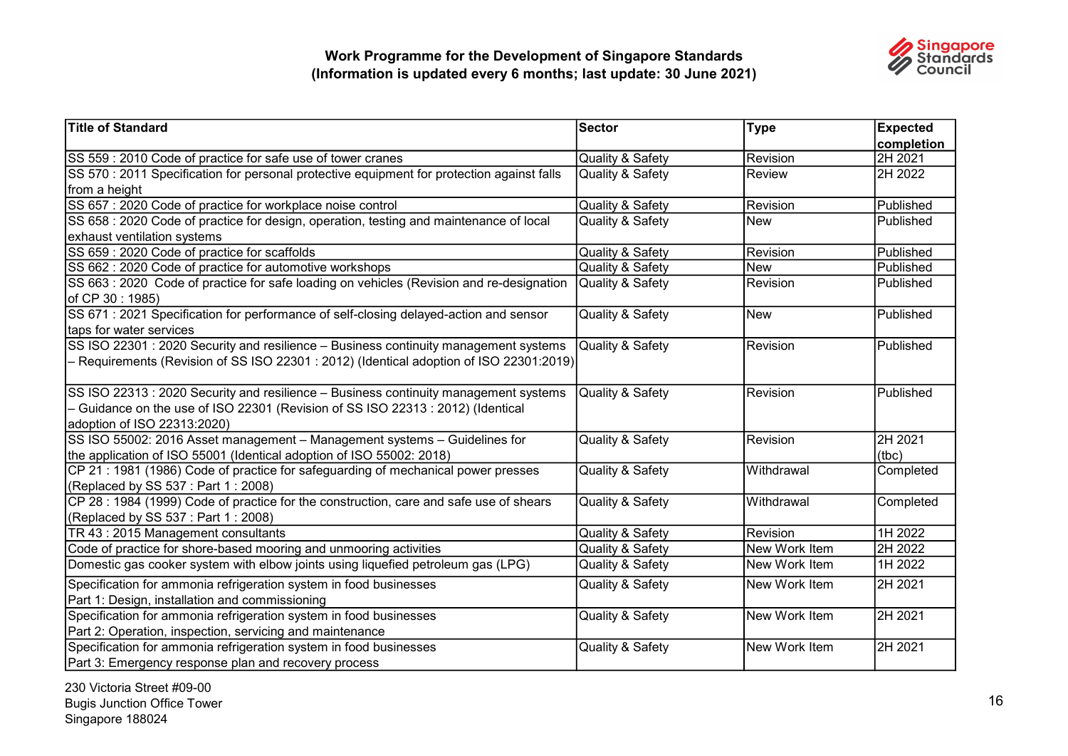

| <b>Title of Standard</b>                                                                   | Sector           | <b>Type</b>     | <b>Expected</b>  |
|--------------------------------------------------------------------------------------------|------------------|-----------------|------------------|
|                                                                                            |                  |                 | completion       |
| SS 559 : 2010 Code of practice for safe use of tower cranes                                | Quality & Safety | Revision        | 2H 2021          |
| SS 570 : 2011 Specification for personal protective equipment for protection against falls | Quality & Safety | Review          | 2H 2022          |
| ∣from a height                                                                             |                  |                 |                  |
| SS 657 : 2020 Code of practice for workplace noise control                                 | Quality & Safety | Revision        | Published        |
| SS 658 : 2020 Code of practice for design, operation, testing and maintenance of local     | Quality & Safety | <b>New</b>      | Published        |
| exhaust ventilation systems                                                                |                  |                 |                  |
| SS 659 : 2020 Code of practice for scaffolds                                               | Quality & Safety | Revision        | Published        |
| SS 662 : 2020 Code of practice for automotive workshops                                    | Quality & Safety | <b>New</b>      | Published        |
| SS 663 : 2020 Code of practice for safe loading on vehicles (Revision and re-designation   | Quality & Safety | Revision        | Published        |
| of CP 30 : 1985)                                                                           |                  |                 |                  |
| SS 671 : 2021 Specification for performance of self-closing delayed-action and sensor      | Quality & Safety | <b>New</b>      | Published        |
| taps for water services                                                                    |                  |                 |                  |
| SS ISO 22301 : 2020 Security and resilience - Business continuity management systems       | Quality & Safety | Revision        | <b>Published</b> |
| Requirements (Revision of SS ISO 22301 : 2012) (Identical adoption of ISO 22301:2019)      |                  |                 |                  |
|                                                                                            |                  |                 |                  |
| SS ISO 22313 : 2020 Security and resilience - Business continuity management systems       | Quality & Safety | Revision        | Published        |
| - Guidance on the use of ISO 22301 (Revision of SS ISO 22313 : 2012) (Identical            |                  |                 |                  |
| adoption of ISO 22313:2020)                                                                |                  |                 |                  |
| SS ISO 55002: 2016 Asset management - Management systems - Guidelines for                  | Quality & Safety | <b>Revision</b> | 2H 2021          |
| the application of ISO 55001 (Identical adoption of ISO 55002: 2018)                       |                  |                 | (tbc)            |
| CP 21: 1981 (1986) Code of practice for safeguarding of mechanical power presses           | Quality & Safety | Withdrawal      | Completed        |
| (Replaced by SS 537 : Part 1 : 2008)                                                       |                  |                 |                  |
| CP 28 : 1984 (1999) Code of practice for the construction, care and safe use of shears     | Quality & Safety | Withdrawal      | Completed        |
| (Replaced by SS 537: Part 1: 2008)                                                         |                  |                 |                  |
| TR 43 : 2015 Management consultants                                                        | Quality & Safety | Revision        | 1H 2022          |
| Code of practice for shore-based mooring and unmooring activities                          | Quality & Safety | New Work Item   | 2H 2022          |
| Domestic gas cooker system with elbow joints using liquefied petroleum gas (LPG)           | Quality & Safety | New Work Item   | 1H 2022          |
| Specification for ammonia refrigeration system in food businesses                          | Quality & Safety | New Work Item   | 2H 2021          |
| Part 1: Design, installation and commissioning                                             |                  |                 |                  |
| Specification for ammonia refrigeration system in food businesses                          | Quality & Safety | New Work Item   | 2H 2021          |
| Part 2: Operation, inspection, servicing and maintenance                                   |                  |                 |                  |
| Specification for ammonia refrigeration system in food businesses                          | Quality & Safety | New Work Item   | 2H 2021          |
| Part 3: Emergency response plan and recovery process                                       |                  |                 |                  |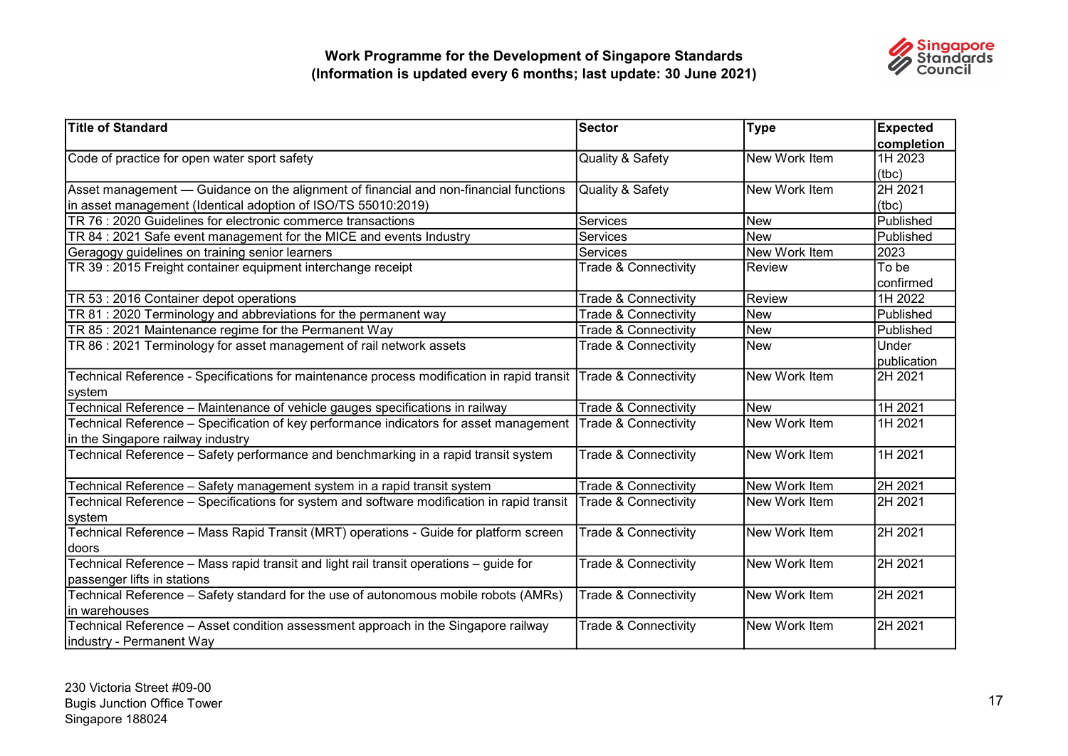![](_page_16_Picture_1.jpeg)

| <b>Title of Standard</b>                                                                                        | Sector                          | <b>Type</b>    | <b>Expected</b> |
|-----------------------------------------------------------------------------------------------------------------|---------------------------------|----------------|-----------------|
|                                                                                                                 |                                 |                | completion      |
| Code of practice for open water sport safety                                                                    | Quality & Safety                | New Work Item  | 1H 2023         |
|                                                                                                                 |                                 |                | (tbc)           |
| Asset management — Guidance on the alignment of financial and non-financial functions                           | Quality & Safety                | lNew Work Item | 2H 2021         |
| in asset management (Identical adoption of ISO/TS 55010:2019)                                                   |                                 |                | (tbc)           |
| TR 76 : 2020 Guidelines for electronic commerce transactions                                                    | <b>Services</b>                 | <b>New</b>     | Published       |
| TR 84 : 2021 Safe event management for the MICE and events Industry                                             | Services                        | <b>New</b>     | Published       |
| Geragogy guidelines on training senior learners                                                                 | Services                        | New Work Item  | 2023            |
| TR 39 : 2015 Freight container equipment interchange receipt                                                    | <b>Trade &amp; Connectivity</b> | IReview        | To be           |
|                                                                                                                 |                                 |                | confirmed       |
| TR 53 : 2016 Container depot operations                                                                         | <b>Trade &amp; Connectivity</b> | <b>Review</b>  | 1H 2022         |
| TR 81 : 2020 Terminology and abbreviations for the permanent way                                                | <b>Trade &amp; Connectivity</b> | <b>New</b>     | Published       |
| TR 85 : 2021 Maintenance regime for the Permanent Way                                                           | <b>Trade &amp; Connectivity</b> | <b>New</b>     | Published       |
| TR 86 : 2021 Terminology for asset management of rail network assets                                            | <b>Trade &amp; Connectivity</b> | New            | Under           |
|                                                                                                                 |                                 |                | publication     |
| Technical Reference - Specifications for maintenance process modification in rapid transit Trade & Connectivity |                                 | New Work Item  | 2H 2021         |
| system                                                                                                          |                                 |                |                 |
| Technical Reference - Maintenance of vehicle gauges specifications in railway                                   | Trade & Connectivity            | <b>New</b>     | 1H 2021         |
| Technical Reference - Specification of key performance indicators for asset management                          | Trade & Connectivity            | New Work Item  | 1H 2021         |
| in the Singapore railway industry                                                                               |                                 |                |                 |
| Technical Reference - Safety performance and benchmarking in a rapid transit system                             | <b>Trade &amp; Connectivity</b> | New Work Item  | 1H 2021         |
|                                                                                                                 |                                 |                |                 |
| Technical Reference - Safety management system in a rapid transit system                                        | <b>Trade &amp; Connectivity</b> | New Work Item  | 2H 2021         |
| Technical Reference – Specifications for system and software modification in rapid transit                      | <b>Trade &amp; Connectivity</b> | New Work Item  | 2H 2021         |
| system                                                                                                          |                                 |                |                 |
| Technical Reference - Mass Rapid Transit (MRT) operations - Guide for platform screen                           | <b>Trade &amp; Connectivity</b> | New Work Item  | 2H 2021         |
| doors                                                                                                           |                                 |                |                 |
| Technical Reference - Mass rapid transit and light rail transit operations - guide for                          | <b>Trade &amp; Connectivity</b> | New Work Item  | 2H 2021         |
| passenger lifts in stations                                                                                     |                                 |                |                 |
| Technical Reference - Safety standard for the use of autonomous mobile robots (AMRs)                            | Trade & Connectivity            | New Work Item  | 2H 2021         |
| in warehouses                                                                                                   |                                 |                |                 |
| Technical Reference - Asset condition assessment approach in the Singapore railway                              | <b>Trade &amp; Connectivity</b> | New Work Item  | 2H 2021         |
| industry - Permanent Way                                                                                        |                                 |                |                 |